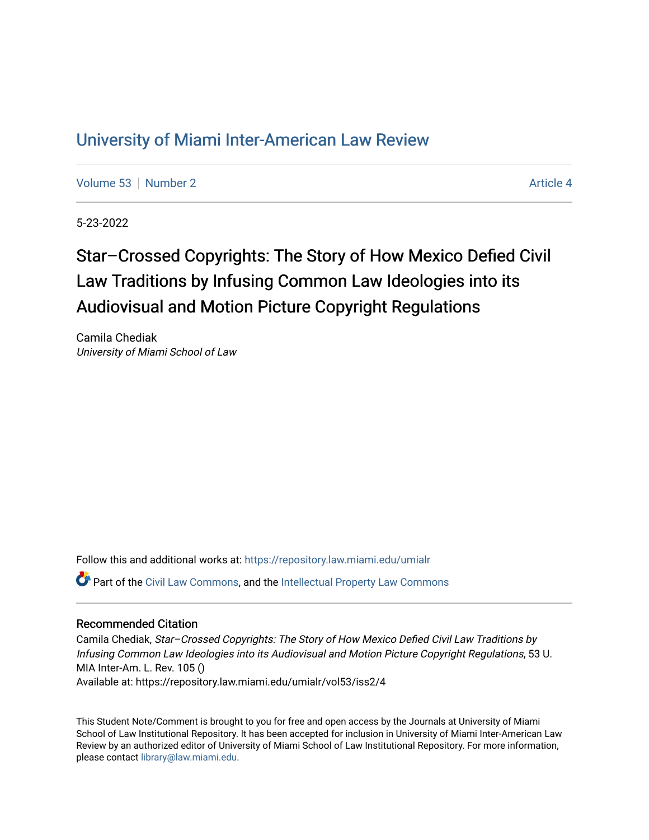## [University of Miami Inter-American Law Review](https://repository.law.miami.edu/umialr)

[Volume 53](https://repository.law.miami.edu/umialr/vol53) [Number 2](https://repository.law.miami.edu/umialr/vol53/iss2) Article 4

5-23-2022

# Star–Crossed Copyrights: The Story of How Mexico Defied Civil Law Traditions by Infusing Common Law Ideologies into its Audiovisual and Motion Picture Copyright Regulations

Camila Chediak University of Miami School of Law

Follow this and additional works at: [https://repository.law.miami.edu/umialr](https://repository.law.miami.edu/umialr?utm_source=repository.law.miami.edu%2Fumialr%2Fvol53%2Fiss2%2F4&utm_medium=PDF&utm_campaign=PDFCoverPages)

Part of the [Civil Law Commons](https://network.bepress.com/hgg/discipline/835?utm_source=repository.law.miami.edu%2Fumialr%2Fvol53%2Fiss2%2F4&utm_medium=PDF&utm_campaign=PDFCoverPages), and the [Intellectual Property Law Commons](https://network.bepress.com/hgg/discipline/896?utm_source=repository.law.miami.edu%2Fumialr%2Fvol53%2Fiss2%2F4&utm_medium=PDF&utm_campaign=PDFCoverPages) 

#### Recommended Citation

Camila Chediak, Star–Crossed Copyrights: The Story of How Mexico Defied Civil Law Traditions by Infusing Common Law Ideologies into its Audiovisual and Motion Picture Copyright Regulations, 53 U. MIA Inter-Am. L. Rev. 105 () Available at: https://repository.law.miami.edu/umialr/vol53/iss2/4

This Student Note/Comment is brought to you for free and open access by the Journals at University of Miami School of Law Institutional Repository. It has been accepted for inclusion in University of Miami Inter-American Law Review by an authorized editor of University of Miami School of Law Institutional Repository. For more information, please contact [library@law.miami.edu.](mailto:library@law.miami.edu)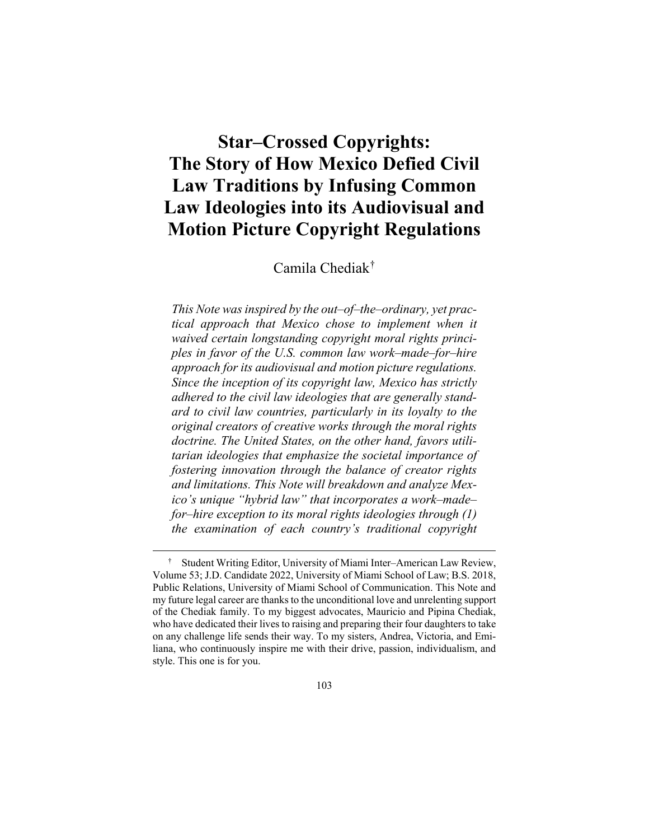## **Star–Crossed Copyrights: The Story of How Mexico Defied Civil Law Traditions by Infusing Common Law Ideologies into its Audiovisual and Motion Picture Copyright Regulations**

Camila Chediak[†](#page-1-0)

*This Note was inspired by the out–of–the–ordinary, yet practical approach that Mexico chose to implement when it waived certain longstanding copyright moral rights principles in favor of the U.S. common law work–made–for–hire approach for its audiovisual and motion picture regulations. Since the inception of its copyright law, Mexico has strictly adhered to the civil law ideologies that are generally standard to civil law countries, particularly in its loyalty to the original creators of creative works through the moral rights doctrine. The United States, on the other hand, favors utilitarian ideologies that emphasize the societal importance of fostering innovation through the balance of creator rights and limitations. This Note will breakdown and analyze Mexico's unique "hybrid law" that incorporates a work–made– for–hire exception to its moral rights ideologies through (1) the examination of each country's traditional copyright* 

<span id="page-1-0"></span> <sup>†</sup> Student Writing Editor, University of Miami Inter–American Law Review, Volume 53; J.D. Candidate 2022, University of Miami School of Law; B.S. 2018, Public Relations, University of Miami School of Communication. This Note and my future legal career are thanks to the unconditional love and unrelenting support of the Chediak family. To my biggest advocates, Mauricio and Pipina Chediak, who have dedicated their lives to raising and preparing their four daughters to take on any challenge life sends their way. To my sisters, Andrea, Victoria, and Emiliana, who continuously inspire me with their drive, passion, individualism, and style. This one is for you.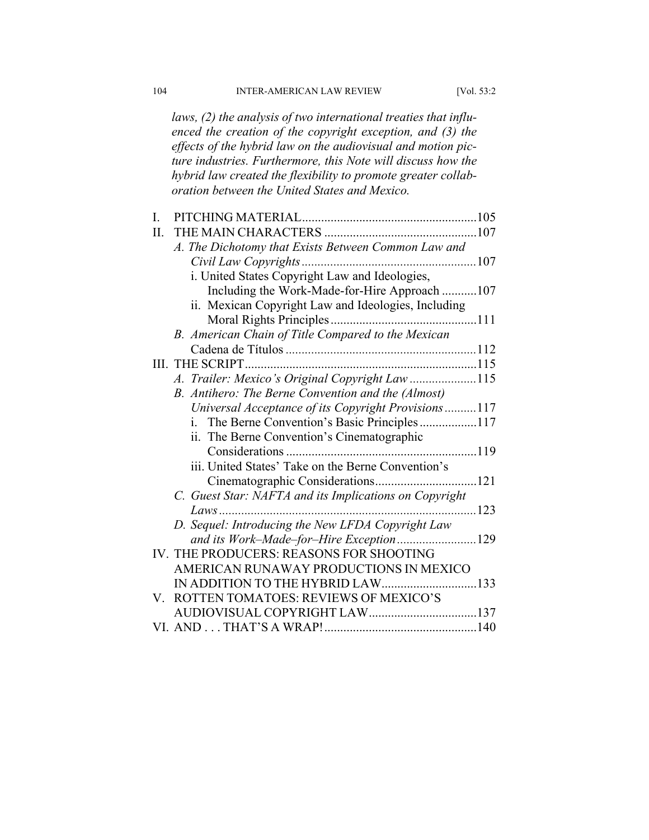*laws, (2) the analysis of two international treaties that influenced the creation of the copyright exception, and (3) the effects of the hybrid law on the audiovisual and motion picture industries. Furthermore, this Note will discuss how the hybrid law created the flexibility to promote greater collaboration between the United States and Mexico.*

| I.  |                                                        |  |
|-----|--------------------------------------------------------|--|
| II. |                                                        |  |
|     | A. The Dichotomy that Exists Between Common Law and    |  |
|     |                                                        |  |
|     | i. United States Copyright Law and Ideologies,         |  |
|     | Including the Work-Made-for-Hire Approach 107          |  |
|     | ii. Mexican Copyright Law and Ideologies, Including    |  |
|     |                                                        |  |
|     | B. American Chain of Title Compared to the Mexican     |  |
|     |                                                        |  |
|     | III. THE SCRIPT                                        |  |
|     | A. Trailer: Mexico's Original Copyright Law115         |  |
|     | B. Antihero: The Berne Convention and the (Almost)     |  |
|     | Universal Acceptance of its Copyright Provisions117    |  |
|     | The Berne Convention's Basic Principles117<br>i.       |  |
|     | ii. The Berne Convention's Cinematographic             |  |
|     |                                                        |  |
|     | iii. United States' Take on the Berne Convention's     |  |
|     |                                                        |  |
|     | C. Guest Star: NAFTA and its Implications on Copyright |  |
|     | 123<br>Laws                                            |  |
|     | D. Sequel: Introducing the New LFDA Copyright Law      |  |
|     |                                                        |  |
|     | IV. THE PRODUCERS: REASONS FOR SHOOTING                |  |
|     | AMERICAN RUNAWAY PRODUCTIONS IN MEXICO                 |  |
|     |                                                        |  |
| V.  | ROTTEN TOMATOES: REVIEWS OF MEXICO'S                   |  |
|     |                                                        |  |
|     |                                                        |  |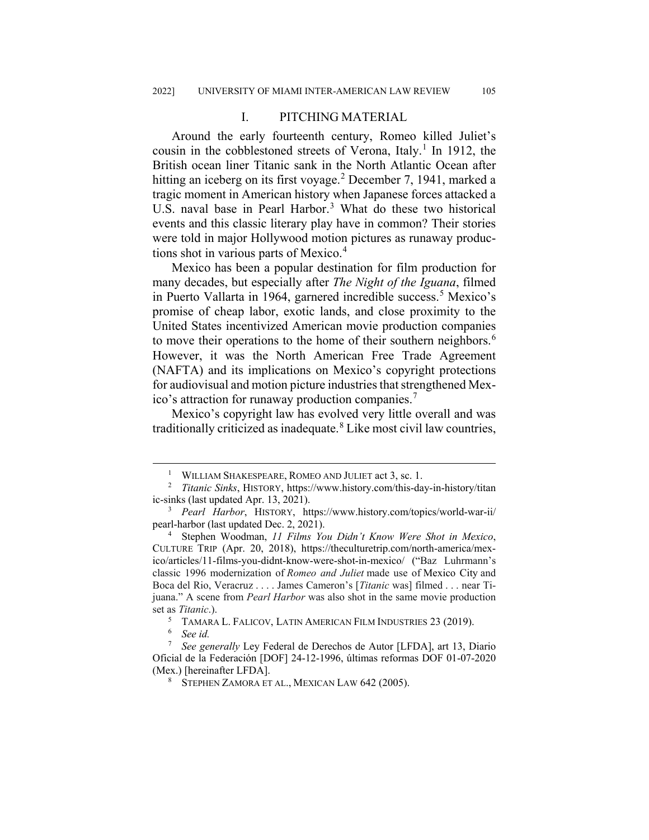#### I. PITCHING MATERIAL

Around the early fourteenth century, Romeo killed Juliet's cousin in the cobblestoned streets of Verona, Italy.<sup>[1](#page-3-0)</sup> In 1912, the British ocean liner Titanic sank in the North Atlantic Ocean after hitting an iceberg on its first voyage.<sup>[2](#page-3-1)</sup> December 7, 1941, marked a tragic moment in American history when Japanese forces attacked a U.S. naval base in Pearl Harbor.<sup>[3](#page-3-2)</sup> What do these two historical events and this classic literary play have in common? Their stories were told in major Hollywood motion pictures as runaway productions shot in various parts of Mexico.[4](#page-3-3)

Mexico has been a popular destination for film production for many decades, but especially after *The Night of the Iguana*, filmed in Puerto Vallarta in 1964, garnered incredible success.<sup>[5](#page-3-4)</sup> Mexico's promise of cheap labor, exotic lands, and close proximity to the United States incentivized American movie production companies to move their operations to the home of their southern neighbors.<sup>[6](#page-3-5)</sup> However, it was the North American Free Trade Agreement (NAFTA) and its implications on Mexico's copyright protections for audiovisual and motion picture industries that strengthened Mexico's attraction for runaway production companies.[7](#page-3-6)

Mexico's copyright law has evolved very little overall and was traditionally criticized as inadequate.<sup>[8](#page-3-7)</sup> Like most civil law countries,

 <sup>1</sup> WILLIAM SHAKESPEARE, ROMEO AND JULIET act 3, sc. 1.

<span id="page-3-1"></span><span id="page-3-0"></span><sup>2</sup> *Titanic Sinks*, HISTORY, https://www.history.com/this-day-in-history/titan ic-sinks (last updated Apr. 13, 2021).

<span id="page-3-2"></span><sup>3</sup> *Pearl Harbor*, HISTORY, https://www.history.com/topics/world-war-ii/ pearl-harbor (last updated Dec. 2, 2021).

<span id="page-3-3"></span><sup>4</sup> Stephen Woodman, *11 Films You Didn't Know Were Shot in Mexico*, CULTURE TRIP (Apr. 20, 2018), https://theculturetrip.com/north-america/mexico/articles/11-films-you-didnt-know-were-shot-in-mexico/ ("Baz Luhrmann's classic 1996 modernization of *Romeo and Juliet* made use of Mexico City and Boca del Rio, Veracruz . . . . James Cameron's [*Titanic* was] filmed . . . near Tijuana." A scene from *Pearl Harbor* was also shot in the same movie production set as *Titanic*.).

<sup>&</sup>lt;sup>5</sup> TAMARA L. FALICOV, LATIN AMERICAN FILM INDUSTRIES 23 (2019).<br>  $\frac{6}{100}$  See id

<sup>6</sup> *See id.*

<span id="page-3-7"></span><span id="page-3-6"></span><span id="page-3-5"></span><span id="page-3-4"></span><sup>7</sup> *See generally* Ley Federal de Derechos de Autor [LFDA], art 13, Diario Oficial de la Federación [DOF] 24-12-1996, últimas reformas DOF 01-07-2020 (Mex.) [hereinafter LFDA].

<sup>8</sup> STEPHEN ZAMORA ET AL., MEXICAN LAW 642 (2005).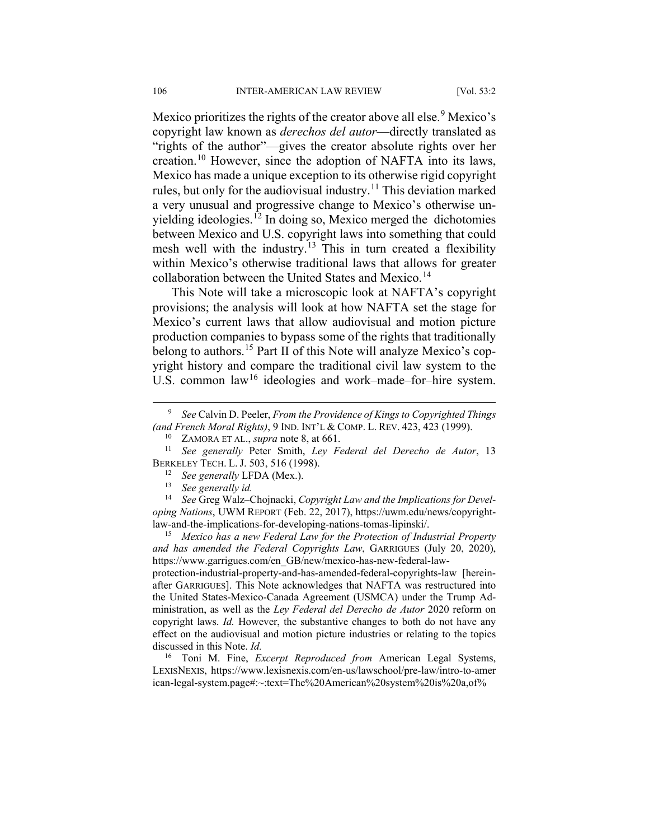Mexico prioritizes the rights of the creator above all else.<sup>[9](#page-4-0)</sup> Mexico's copyright law known as *derechos del autor*—directly translated as "rights of the author"—gives the creator absolute rights over her creation.[10](#page-4-1) However, since the adoption of NAFTA into its laws, Mexico has made a unique exception to its otherwise rigid copyright rules, but only for the audiovisual industry.<sup>[11](#page-4-2)</sup> This deviation marked a very unusual and progressive change to Mexico's otherwise un-yielding ideologies.<sup>[12](#page-4-3)</sup> In doing so, Mexico merged the dichotomies between Mexico and U.S. copyright laws into something that could mesh well with the industry.<sup>[13](#page-4-4)</sup> This in turn created a flexibility within Mexico's otherwise traditional laws that allows for greater collaboration between the United States and Mexico.<sup>[14](#page-4-5)</sup>

This Note will take a microscopic look at NAFTA's copyright provisions; the analysis will look at how NAFTA set the stage for Mexico's current laws that allow audiovisual and motion picture production companies to bypass some of the rights that traditionally belong to authors.<sup>[15](#page-4-6)</sup> Part II of this Note will analyze Mexico's copyright history and compare the traditional civil law system to the U.S. common law<sup>[16](#page-4-7)</sup> ideologies and work–made–for–hire system.

<span id="page-4-6"></span><sup>15</sup> *Mexico has a new Federal Law for the Protection of Industrial Property and has amended the Federal Copyrights Law*, GARRIGUES (July 20, 2020), https://www.garrigues.com/en\_GB/new/mexico-has-new-federal-law-

protection-industrial-property-and-has-amended-federal-copyrights-law [hereinafter GARRIGUES]. This Note acknowledges that NAFTA was restructured into the United States-Mexico-Canada Agreement (USMCA) under the Trump Administration, as well as the *Ley Federal del Derecho de Autor* 2020 reform on copyright laws. *Id.* However, the substantive changes to both do not have any effect on the audiovisual and motion picture industries or relating to the topics discussed in this Note. *Id.*

<span id="page-4-7"></span><sup>16</sup> Toni M. Fine, *Excerpt Reproduced from* American Legal Systems, LEXISNEXIS, https://www.lexisnexis.com/en-us/lawschool/pre-law/intro-to-amer ican-legal-system.page#:~:text=The%20American%20system%20is%20a,of%

<span id="page-4-0"></span> <sup>9</sup> *See* Calvin D. Peeler, *From the Providence of Kings to Copyrighted Things (and French Moral Rights)*, 9 IND. INT'L & COMP. L. REV. 423, 423 (1999).

<sup>10</sup> ZAMORA ET AL., *supra* note 8, at 661.

<span id="page-4-3"></span><span id="page-4-2"></span><span id="page-4-1"></span><sup>11</sup> *See generally* Peter Smith, *Ley Federal del Derecho de Autor*, 13 BERKELEY TECH. L. J. 503, 516 (1998).

<sup>&</sup>lt;sup>12</sup> *See generally LFDA (Mex.).*<br><sup>13</sup> *See generally id* 

<sup>13</sup> *See generally id.*

<span id="page-4-5"></span><span id="page-4-4"></span><sup>14</sup> *See* Greg Walz–Chojnacki, *Copyright Law and the Implications for Developing Nations*, UWM REPORT (Feb. 22, 2017), https://uwm.edu/news/copyrightlaw-and-the-implications-for-developing-nations-tomas-lipinski/.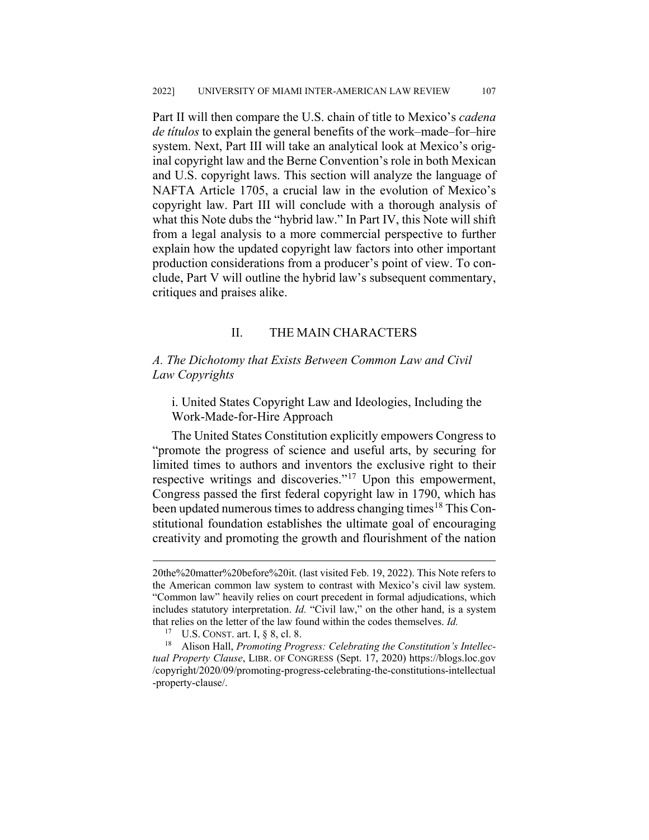Part II will then compare the U.S. chain of title to Mexico's *cadena de títulos* to explain the general benefits of the work–made–for–hire system. Next, Part III will take an analytical look at Mexico's original copyright law and the Berne Convention's role in both Mexican and U.S. copyright laws. This section will analyze the language of NAFTA Article 1705, a crucial law in the evolution of Mexico's copyright law. Part III will conclude with a thorough analysis of what this Note dubs the "hybrid law." In Part IV, this Note will shift from a legal analysis to a more commercial perspective to further explain how the updated copyright law factors into other important production considerations from a producer's point of view. To conclude, Part V will outline the hybrid law's subsequent commentary, critiques and praises alike.

### II. THE MAIN CHARACTERS

#### *A. The Dichotomy that Exists Between Common Law and Civil Law Copyrights*

i. United States Copyright Law and Ideologies, Including the Work-Made-for-Hire Approach

The United States Constitution explicitly empowers Congress to "promote the progress of science and useful arts, by securing for limited times to authors and inventors the exclusive right to their respective writings and discoveries."<sup>[17](#page-5-0)</sup> Upon this empowerment, Congress passed the first federal copyright law in 1790, which has been updated numerous times to address changing times<sup>[18](#page-5-1)</sup> This Constitutional foundation establishes the ultimate goal of encouraging creativity and promoting the growth and flourishment of the nation

 <sup>20</sup>the%20matter%20before%20it. (last visited Feb. 19, 2022). This Note refers to the American common law system to contrast with Mexico's civil law system. "Common law" heavily relies on court precedent in formal adjudications, which includes statutory interpretation. *Id.* "Civil law," on the other hand, is a system that relies on the letter of the law found within the codes themselves. *Id.*

<sup>&</sup>lt;sup>17</sup> U.S. CONST. art. I,  $\S$  8, cl. 8.

<span id="page-5-1"></span><span id="page-5-0"></span><sup>18</sup> Alison Hall, *Promoting Progress: Celebrating the Constitution's Intellectual Property Clause*, LIBR. OF CONGRESS (Sept. 17, 2020) https://blogs.loc.gov /copyright/2020/09/promoting-progress-celebrating-the-constitutions-intellectual -property-clause/.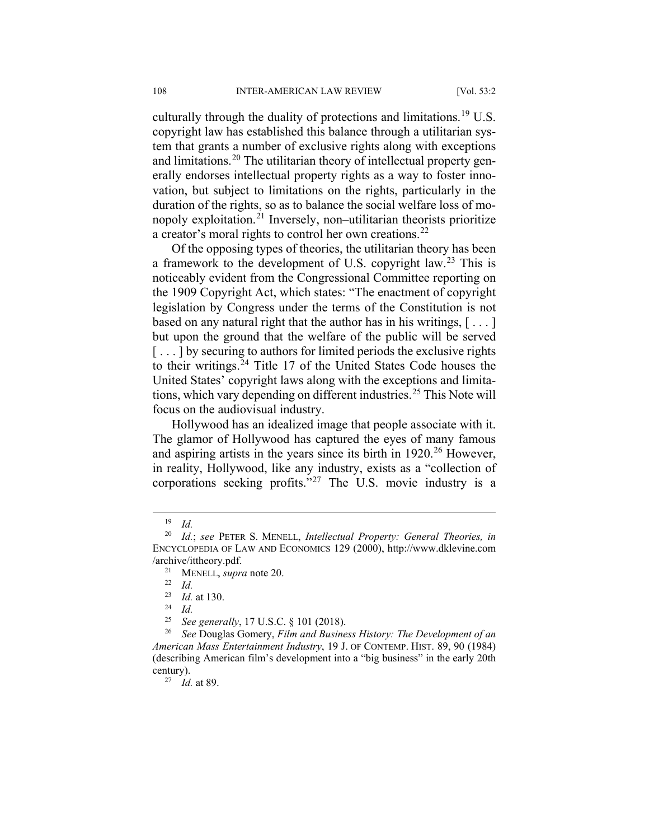culturally through the duality of protections and limitations.<sup>[19](#page-6-0)</sup> U.S. copyright law has established this balance through a utilitarian system that grants a number of exclusive rights along with exceptions and limitations.<sup>[20](#page-6-1)</sup> The utilitarian theory of intellectual property generally endorses intellectual property rights as a way to foster innovation, but subject to limitations on the rights, particularly in the duration of the rights, so as to balance the social welfare loss of monopoly exploitation.[21](#page-6-2) Inversely, non–utilitarian theorists prioritize a creator's moral rights to control her own creations.<sup>[22](#page-6-3)</sup>

Of the opposing types of theories, the utilitarian theory has been a framework to the development of U.S. copyright law.[23](#page-6-4) This is noticeably evident from the Congressional Committee reporting on the 1909 Copyright Act, which states: "The enactment of copyright legislation by Congress under the terms of the Constitution is not based on any natural right that the author has in his writings,  $[\dots]$ but upon the ground that the welfare of the public will be served [...] by securing to authors for limited periods the exclusive rights to their writings.[24](#page-6-5) Title 17 of the United States Code houses the United States' copyright laws along with the exceptions and limita-tions, which vary depending on different industries.<sup>[25](#page-6-6)</sup> This Note will focus on the audiovisual industry.

Hollywood has an idealized image that people associate with it. The glamor of Hollywood has captured the eyes of many famous and aspiring artists in the years since its birth in 1920.<sup>[26](#page-6-7)</sup> However, in reality, Hollywood, like any industry, exists as a "collection of corporations seeking profits."[27](#page-6-8) The U.S. movie industry is a

 <sup>19</sup> *Id.*

<span id="page-6-3"></span><span id="page-6-2"></span><span id="page-6-1"></span><span id="page-6-0"></span><sup>20</sup> *Id.*; *see* PETER S. MENELL, *Intellectual Property: General Theories, in* ENCYCLOPEDIA OF LAW AND ECONOMICS 129 (2000), [http://www.dklevine.com](http://www.dklevine.com/archive/ittheory.pdf) [/archive/ittheory.pdf.](http://www.dklevine.com/archive/ittheory.pdf)

<sup>21</sup> MENELL, *supra* note 20.

<sup>22</sup> *Id.*

<sup>23</sup> *Id.* at 130.

 $\frac{24}{25}$  *Id.* 

<sup>25</sup> *See generally*, 17 U.S.C. § 101 (2018).

<span id="page-6-8"></span><span id="page-6-7"></span><span id="page-6-6"></span><span id="page-6-5"></span><span id="page-6-4"></span><sup>26</sup> *See* Douglas Gomery, *Film and Business History: The Development of an American Mass Entertainment Industry*, 19 J. OF CONTEMP. HIST. 89, 90 (1984) (describing American film's development into a "big business" in the early 20th century).

<sup>27</sup> *Id.* at 89.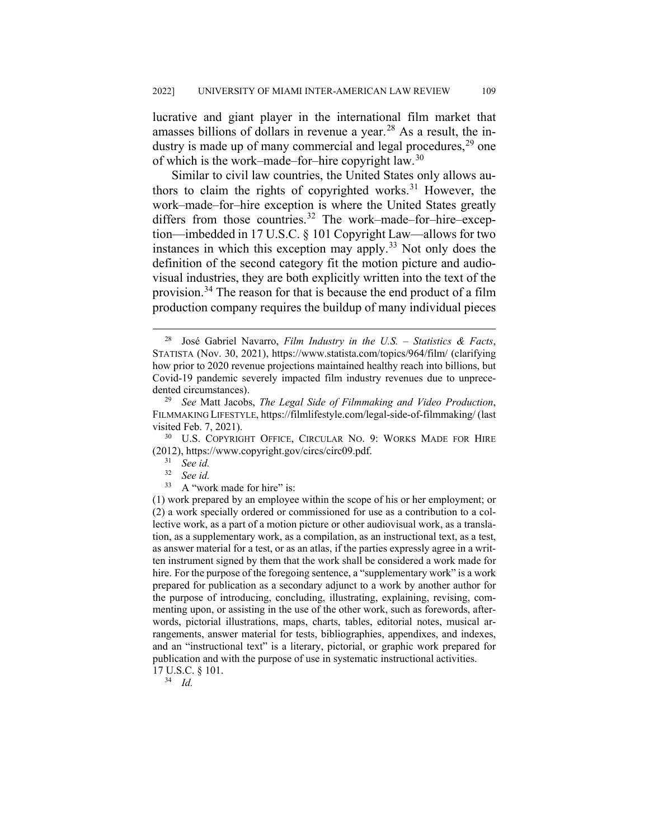lucrative and giant player in the international film market that amasses billions of dollars in revenue a year.<sup>[28](#page-7-0)</sup> As a result, the industry is made up of many commercial and legal procedures,  $29$  one of which is the work–made–for–hire copyright law.[30](#page-7-2)

Similar to civil law countries, the United States only allows au-thors to claim the rights of copyrighted works.<sup>[31](#page-7-3)</sup> However, the work–made–for–hire exception is where the United States greatly differs from those countries.<sup>[32](#page-7-4)</sup> The work–made–for–hire–exception—imbedded in 17 U.S.C. § 101 Copyright Law—allows for two instances in which this exception may apply.<sup>[33](#page-7-5)</sup> Not only does the definition of the second category fit the motion picture and audiovisual industries, they are both explicitly written into the text of the provision.[34](#page-7-6) The reason for that is because the end product of a film production company requires the buildup of many individual pieces

<span id="page-7-3"></span><span id="page-7-2"></span><sup>30</sup> U.S. COPYRIGHT OFFICE, CIRCULAR NO. 9: WORKS MADE FOR HIRE (2012), https://www.copyright.gov/circs/circ09.pdf.

- <sup>32</sup> *See id.*
- <sup>33</sup> A "work made for hire" is:

<span id="page-7-5"></span><span id="page-7-4"></span>(1) work prepared by an employee within the scope of his or her employment; or (2) a work specially ordered or commissioned for use as a contribution to a collective work, as a part of a motion picture or other audiovisual work, as a translation, as a supplementary work, as a compilation, as an instructional text, as a test, as answer material for a test, or as an atlas, if the parties expressly agree in a written instrument signed by them that the work shall be considered a work made for hire. For the purpose of the foregoing sentence, a "supplementary work" is a work prepared for publication as a secondary adjunct to a work by another author for the purpose of introducing, concluding, illustrating, explaining, revising, commenting upon, or assisting in the use of the other work, such as forewords, afterwords, pictorial illustrations, maps, charts, tables, editorial notes, musical arrangements, answer material for tests, bibliographies, appendixes, and indexes, and an "instructional text" is a literary, pictorial, or graphic work prepared for publication and with the purpose of use in systematic instructional activities.

<sup>34</sup> *Id.*

<span id="page-7-0"></span> <sup>28</sup> José Gabriel Navarro, *Film Industry in the U.S. – Statistics & Facts*, STATISTA (Nov. 30, 2021), https://www.statista.com/topics/964/film/ (clarifying how prior to 2020 revenue projections maintained healthy reach into billions, but Covid-19 pandemic severely impacted film industry revenues due to unprecedented circumstances).

<span id="page-7-1"></span><sup>29</sup> *See* Matt Jacobs, *The Legal Side of Filmmaking and Video Production*, FILMMAKING LIFESTYLE, https://filmlifestyle.com/legal-side-of-filmmaking/ (last visited Feb. 7, 2021).

 $rac{31}{32}$  *See id.* 

<span id="page-7-6"></span><sup>17</sup> U.S.C. § 101.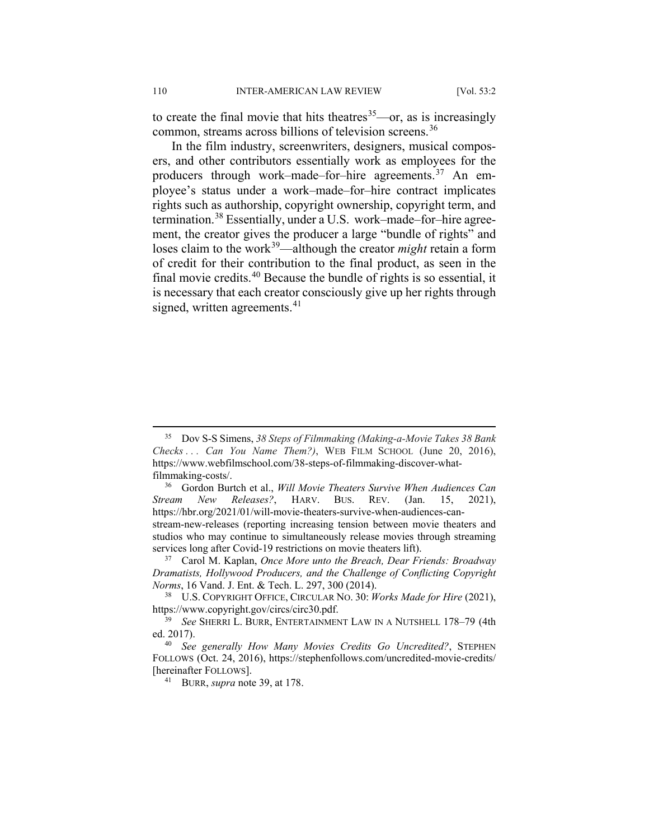to create the final movie that hits theatres  $35$ —or, as is increasingly common, streams across billions of television screens.<sup>[36](#page-8-1)</sup>

In the film industry, screenwriters, designers, musical composers, and other contributors essentially work as employees for the producers through work–made–for–hire agreements.<sup>[37](#page-8-2)</sup> An employee's status under a work–made–for–hire contract implicates rights such as authorship, copyright ownership, copyright term, and termination.[38](#page-8-3) Essentially, under a U.S. work–made–for–hire agreement, the creator gives the producer a large "bundle of rights" and loses claim to the work<sup>[39](#page-8-4)</sup>—although the creator *might* retain a form of credit for their contribution to the final product, as seen in the final movie credits.[40](#page-8-5) Because the bundle of rights is so essential, it is necessary that each creator consciously give up her rights through signed, written agreements. $41$ 

<span id="page-8-0"></span> <sup>35</sup> Dov S-S Simens, *38 Steps of Filmmaking (Making-a-Movie Takes 38 Bank Checks . . . Can You Name Them?)*, WEB FILM SCHOOL (June 20, 2016), https://www.webfilmschool.com/38-steps-of-filmmaking-discover-whatfilmmaking-costs/.

<span id="page-8-1"></span><sup>36</sup> Gordon Burtch et al., *Will Movie Theaters Survive When Audiences Can Stream New Releases?*, HARV. BUS. REV. (Jan. 15, 2021), https://hbr.org/2021/01/will-movie-theaters-survive-when-audiences-canstream-new-releases (reporting increasing tension between movie theaters and studios who may continue to simultaneously release movies through streaming services long after Covid-19 restrictions on movie theaters lift).

<span id="page-8-2"></span><sup>37</sup> Carol M. Kaplan, *Once More unto the Breach, Dear Friends: Broadway Dramatists, Hollywood Producers, and the Challenge of Conflicting Copyright Norms*, 16 Vand. J. Ent. & Tech. L. 297, 300 (2014).

<span id="page-8-3"></span><sup>38</sup> U.S. COPYRIGHT OFFICE, CIRCULAR NO. 30: *Works Made for Hire* (2021), https://www.copyright.gov/circs/circ30.pdf.

<span id="page-8-4"></span><sup>39</sup> *See* SHERRI L. BURR, ENTERTAINMENT LAW IN A NUTSHELL 178–79 (4th ed. 2017).

<span id="page-8-6"></span><span id="page-8-5"></span><sup>40</sup> *See generally How Many Movies Credits Go Uncredited?*, STEPHEN FOLLOWS (Oct. 24, 2016), https://stephenfollows.com/uncredited-movie-credits/ [hereinafter FOLLOWS].

<sup>41</sup> BURR, *supra* note 39, at 178.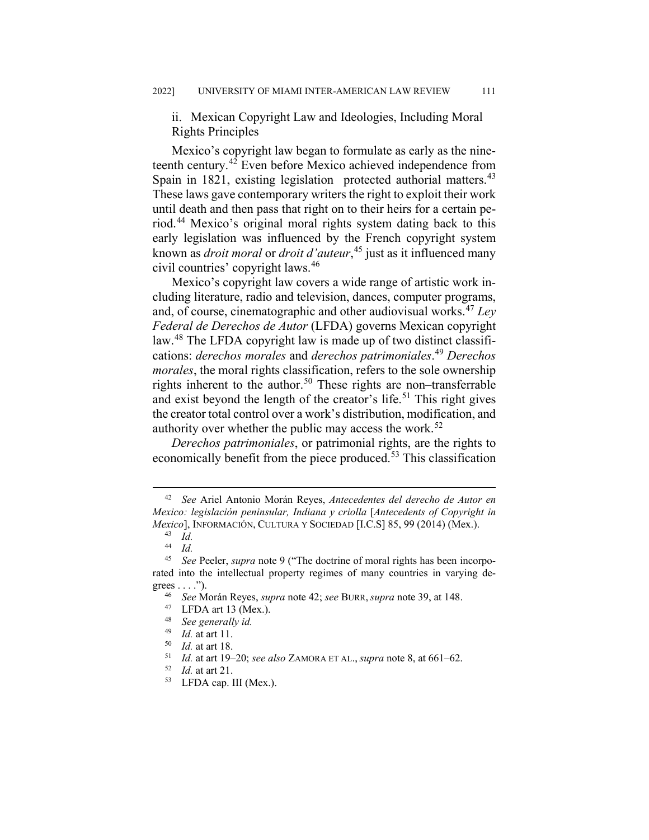ii. Mexican Copyright Law and Ideologies, Including Moral Rights Principles

Mexico's copyright law began to formulate as early as the nineteenth century.[42](#page-9-0) Even before Mexico achieved independence from Spain in 1821, existing legislation protected authorial matters.<sup>[43](#page-9-1)</sup> These laws gave contemporary writers the right to exploit their work until death and then pass that right on to their heirs for a certain period.[44](#page-9-2) Mexico's original moral rights system dating back to this early legislation was influenced by the French copyright system known as *droit moral* or *droit d'auteur*, [45](#page-9-3) just as it influenced many civil countries' copyright laws.[46](#page-9-4)

Mexico's copyright law covers a wide range of artistic work including literature, radio and television, dances, computer programs, and, of course, cinematographic and other audiovisual works.[47](#page-9-5) *Ley Federal de Derechos de Autor* (LFDA) governs Mexican copyright law.[48](#page-9-6) The LFDA copyright law is made up of two distinct classifications: *derechos morales* and *derechos patrimoniales*. [49](#page-9-7) *Derechos morales*, the moral rights classification, refers to the sole ownership rights inherent to the author.<sup>[50](#page-9-8)</sup> These rights are non–transferrable and exist beyond the length of the creator's life.<sup>[51](#page-9-9)</sup> This right gives the creator total control over a work's distribution, modification, and authority over whether the public may access the work.<sup>[52](#page-9-10)</sup>

*Derechos patrimoniales*, or patrimonial rights, are the rights to economically benefit from the piece produced.<sup>[53](#page-9-11)</sup> This classification

<span id="page-9-0"></span> <sup>42</sup> *See* Ariel Antonio Morán Reyes, *Antecedentes del derecho de Autor en Mexico: legislación peninsular, Indiana y criolla* [*Antecedents of Copyright in Mexico*], INFORMACIÓN, CULTURA Y SOCIEDAD [I.C.S] 85, 99 (2014) (Mex.).

<sup>43</sup> *Id.*

 $\frac{44}{45}$  *Id.*<br> $\frac{1}{26}$ 

<span id="page-9-6"></span><span id="page-9-5"></span><span id="page-9-4"></span><span id="page-9-3"></span><span id="page-9-2"></span><span id="page-9-1"></span><sup>45</sup> *See* Peeler, *supra* note 9 ("The doctrine of moral rights has been incorporated into the intellectual property regimes of many countries in varying de $grees \ldots$ ").

<sup>46</sup> *See* Morán Reyes, *supra* note 42; *see* BURR,*supra* note 39, at 148.

<sup>&</sup>lt;sup>47</sup> LFDA art 13 (Mex.).<br><sup>48</sup> See generally id

 $^{48}$  *See generally id.*<br> $^{49}$  *Id.* at art 11

<span id="page-9-7"></span> $\frac{49}{50}$  *Id.* at art 11.

<span id="page-9-8"></span> $\frac{50}{51}$  *Id.* at art 18.

<sup>51</sup> *Id.* at art 19–20; *see also* ZAMORA ET AL., *supra* note 8, at 661–62.

<span id="page-9-10"></span><span id="page-9-9"></span><sup>52</sup> *Id.* at art 21.

<span id="page-9-11"></span><sup>53</sup> LFDA cap. III (Mex.).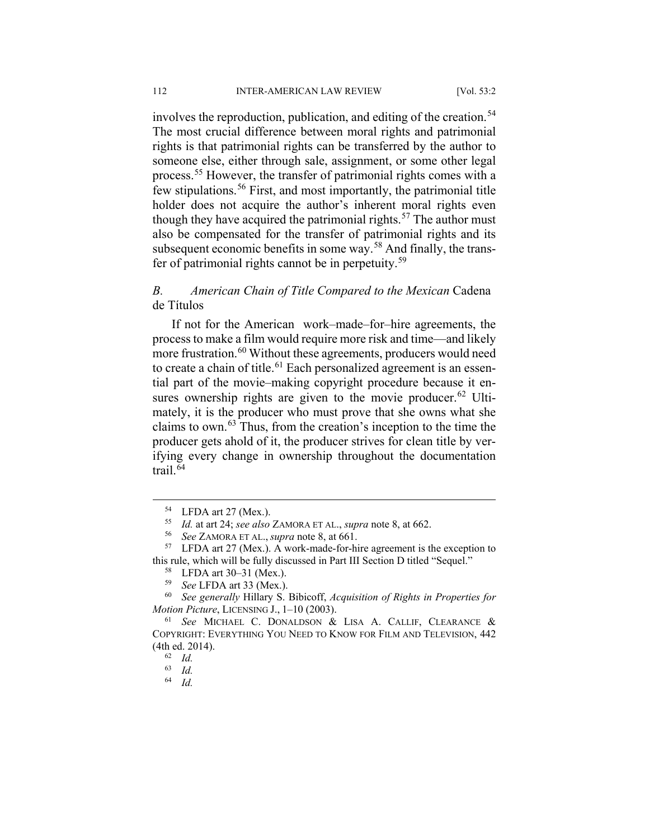involves the reproduction, publication, and editing of the creation.<sup>[54](#page-10-0)</sup> The most crucial difference between moral rights and patrimonial rights is that patrimonial rights can be transferred by the author to someone else, either through sale, assignment, or some other legal process.[55](#page-10-1) However, the transfer of patrimonial rights comes with a few stipulations.[56](#page-10-2) First, and most importantly, the patrimonial title holder does not acquire the author's inherent moral rights even though they have acquired the patrimonial rights. $57$  The author must also be compensated for the transfer of patrimonial rights and its subsequent economic benefits in some way.<sup>[58](#page-10-4)</sup> And finally, the transfer of patrimonial rights cannot be in perpetuity.[59](#page-10-5)

## *B. American Chain of Title Compared to the Mexican* Cadena de Títulos

If not for the American work–made–for–hire agreements, the process to make a film would require more risk and time—and likely more frustration.<sup>[60](#page-10-6)</sup> Without these agreements, producers would need to create a chain of title.<sup>[61](#page-10-7)</sup> Each personalized agreement is an essential part of the movie–making copyright procedure because it en-sures ownership rights are given to the movie producer.<sup>[62](#page-10-8)</sup> Ultimately, it is the producer who must prove that she owns what she claims to own.[63](#page-10-9) Thus, from the creation's inception to the time the producer gets ahold of it, the producer strives for clean title by verifying every change in ownership throughout the documentation trail.[64](#page-10-10)

<sup>64</sup> *Id.*

 <sup>54</sup> LFDA art 27 (Mex.).

<sup>55</sup> *Id.* at art 24; *see also* ZAMORA ET AL., *supra* note 8, at 662.

<sup>56</sup> *See* ZAMORA ET AL., *supra* note 8, at 661.

<span id="page-10-3"></span><span id="page-10-2"></span><span id="page-10-1"></span><span id="page-10-0"></span><sup>57</sup> LFDA art 27 (Mex.). A work-made-for-hire agreement is the exception to this rule, which will be fully discussed in Part III Section D titled "Sequel."

<sup>58</sup> LFDA art 30–31 (Mex.).

<sup>59</sup> *See* LFDA art 33 (Mex.).

<span id="page-10-6"></span><span id="page-10-5"></span><span id="page-10-4"></span><sup>60</sup> *See generally* Hillary S. Bibicoff, *Acquisition of Rights in Properties for Motion Picture*, LICENSING J., 1–10 (2003).

<span id="page-10-10"></span><span id="page-10-9"></span><span id="page-10-8"></span><span id="page-10-7"></span><sup>61</sup> *See* MICHAEL C. DONALDSON & LISA A. CALLIF, CLEARANCE & COPYRIGHT: EVERYTHING YOU NEED TO KNOW FOR FILM AND TELEVISION, 442 (4th ed. 2014).

<sup>62</sup> *Id.*

 $\begin{array}{cc} 63 & Id. \\ 64 & Id. \end{array}$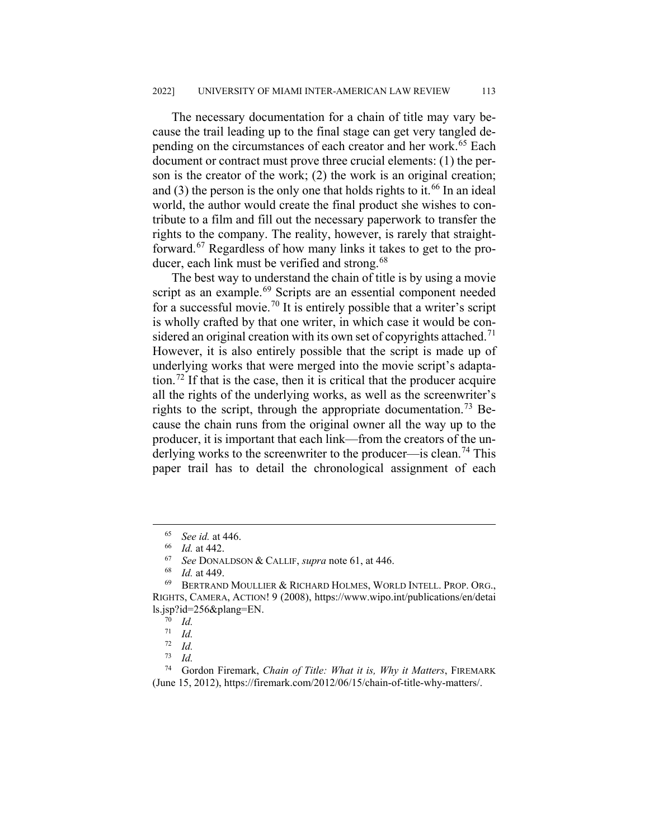The necessary documentation for a chain of title may vary because the trail leading up to the final stage can get very tangled de-pending on the circumstances of each creator and her work.<sup>[65](#page-11-0)</sup> Each document or contract must prove three crucial elements: (1) the person is the creator of the work; (2) the work is an original creation; and  $(3)$  the person is the only one that holds rights to it.<sup>[66](#page-11-1)</sup> In an ideal world, the author would create the final product she wishes to contribute to a film and fill out the necessary paperwork to transfer the rights to the company. The reality, however, is rarely that straight-forward.<sup>[67](#page-11-2)</sup> Regardless of how many links it takes to get to the pro-ducer, each link must be verified and strong.<sup>[68](#page-11-3)</sup>

The best way to understand the chain of title is by using a movie script as an example.<sup>[69](#page-11-4)</sup> Scripts are an essential component needed for a successful movie.<sup>[70](#page-11-5)</sup> It is entirely possible that a writer's script is wholly crafted by that one writer, in which case it would be con-sidered an original creation with its own set of copyrights attached.<sup>[71](#page-11-6)</sup> However, it is also entirely possible that the script is made up of underlying works that were merged into the movie script's adapta-tion.<sup>[72](#page-11-7)</sup> If that is the case, then it is critical that the producer acquire all the rights of the underlying works, as well as the screenwriter's rights to the script, through the appropriate documentation.<sup>[73](#page-11-8)</sup> Because the chain runs from the original owner all the way up to the producer, it is important that each link—from the creators of the un-derlying works to the screenwriter to the producer—is clean.<sup>[74](#page-11-9)</sup> This paper trail has to detail the chronological assignment of each

 <sup>65</sup> *See id.* at 446.

 $\frac{66}{67}$  *Id.* at 442.

<sup>67</sup> *See* DONALDSON & CALLIF, *supra* note 61, at 446.

<sup>68</sup> *Id.* at 449.

<span id="page-11-5"></span><span id="page-11-4"></span><span id="page-11-3"></span><span id="page-11-2"></span><span id="page-11-1"></span><span id="page-11-0"></span><sup>69</sup> BERTRAND MOULLIER & RICHARD HOLMES, WORLD INTELL. PROP. ORG., RIGHTS, CAMERA, ACTION! 9 (2008), https://www.wipo.int/publications/en/detai ls.jsp?id=256&plang=EN.

 $\frac{70}{71}$  *Id.* 

 $\frac{71}{72}$  *Id.* 

 $\frac{72}{73}$  *Id.* 

 $\frac{73}{74}$  *Id.* 

<span id="page-11-9"></span><span id="page-11-8"></span><span id="page-11-7"></span><span id="page-11-6"></span><sup>74</sup> Gordon Firemark, *Chain of Title: What it is, Why it Matters*, FIREMARK (June 15, 2012), https://firemark.com/2012/06/15/chain-of-title-why-matters/.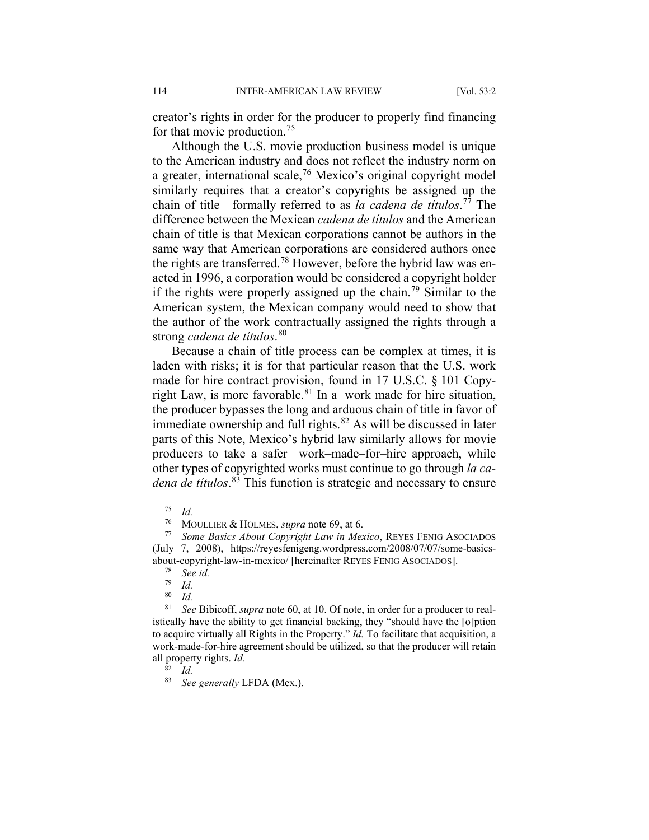creator's rights in order for the producer to properly find financing for that movie production.<sup>[75](#page-12-0)</sup>

Although the U.S. movie production business model is unique to the American industry and does not reflect the industry norm on a greater, international scale,  $76$  Mexico's original copyright model similarly requires that a creator's copyrights be assigned up the chain of title—formally referred to as *la cadena de títulos*. [77](#page-12-2) The difference between the Mexican *cadena de títulos* and the American chain of title is that Mexican corporations cannot be authors in the same way that American corporations are considered authors once the rights are transferred.<sup>[78](#page-12-3)</sup> However, before the hybrid law was enacted in 1996, a corporation would be considered a copyright holder if the rights were properly assigned up the chain.<sup>[79](#page-12-4)</sup> Similar to the American system, the Mexican company would need to show that the author of the work contractually assigned the rights through a strong *cadena de títulos*. [80](#page-12-5)

Because a chain of title process can be complex at times, it is laden with risks; it is for that particular reason that the U.S. work made for hire contract provision, found in 17 U.S.C. § 101 Copy-right Law, is more favorable.<sup>[81](#page-12-6)</sup> In a work made for hire situation, the producer bypasses the long and arduous chain of title in favor of immediate ownership and full rights. $82$  As will be discussed in later parts of this Note, Mexico's hybrid law similarly allows for movie producers to take a safer work–made–for–hire approach, while other types of copyrighted works must continue to go through *la cadena de títulos*. [83](#page-12-8) This function is strategic and necessary to ensure

 $^{75}$  *Id.*<br> $^{76}$  M<sub>c</sub>

<sup>76</sup> MOULLIER & HOLMES, *supra* note 69, at 6.

<span id="page-12-2"></span><span id="page-12-1"></span><span id="page-12-0"></span>Some Basics About Copyright Law in Mexico, REYES FENIG ASOCIADOS (July 7, 2008), https://reyesfenigeng.wordpress.com/2008/07/07/some-basicsabout-copyright-law-in-mexico/ [hereinafter REYES FENIG ASOCIADOS].<br> $\frac{78}{2}$  See id

<sup>78</sup> *See id.*

 $\frac{79}{80}$  *Id.* 

 $rac{80}{81}$  *Id.* 

<span id="page-12-7"></span><span id="page-12-6"></span><span id="page-12-5"></span><span id="page-12-4"></span><span id="page-12-3"></span>See Bibicoff, *supra* note 60, at 10. Of note, in order for a producer to realistically have the ability to get financial backing, they "should have the [o]ption to acquire virtually all Rights in the Property." *Id.* To facilitate that acquisition, a work-made-for-hire agreement should be utilized, so that the producer will retain all property rights. *Id.*

 $\bar{8}^2$  *Id.* 

<span id="page-12-8"></span><sup>83</sup> *See generally* LFDA (Mex.).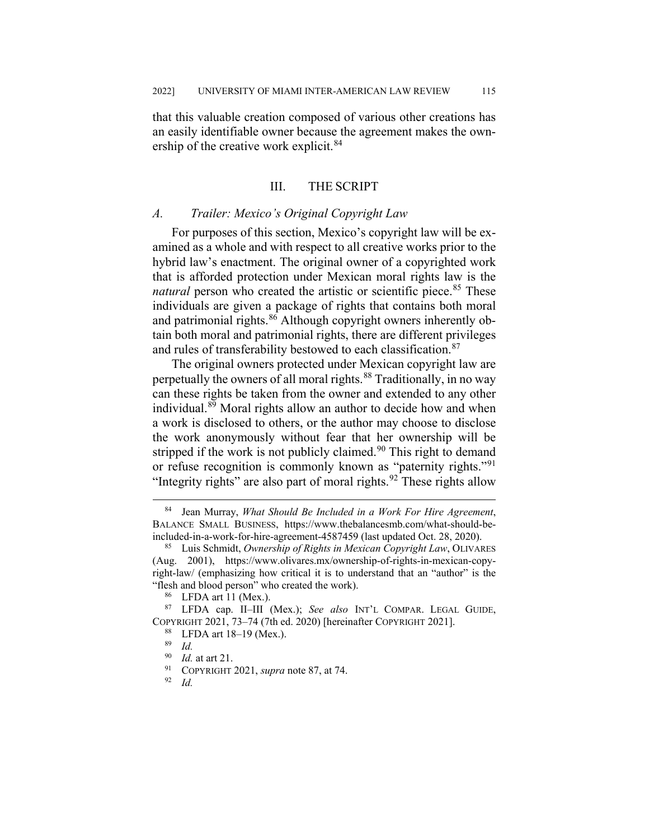that this valuable creation composed of various other creations has an easily identifiable owner because the agreement makes the own-ership of the creative work explicit.<sup>[84](#page-13-0)</sup>

#### III. THE SCRIPT

#### *A. Trailer: Mexico's Original Copyright Law*

For purposes of this section, Mexico's copyright law will be examined as a whole and with respect to all creative works prior to the hybrid law's enactment. The original owner of a copyrighted work that is afforded protection under Mexican moral rights law is the *natural* person who created the artistic or scientific piece.<sup>[85](#page-13-1)</sup> These individuals are given a package of rights that contains both moral and patrimonial rights.<sup>[86](#page-13-2)</sup> Although copyright owners inherently obtain both moral and patrimonial rights, there are different privileges and rules of transferability bestowed to each classification.<sup>[87](#page-13-3)</sup>

The original owners protected under Mexican copyright law are perpetually the owners of all moral rights.<sup>[88](#page-13-4)</sup> Traditionally, in no way can these rights be taken from the owner and extended to any other individual.<sup>[89](#page-13-5)</sup> Moral rights allow an author to decide how and when a work is disclosed to others, or the author may choose to disclose the work anonymously without fear that her ownership will be stripped if the work is not publicly claimed.<sup>[90](#page-13-6)</sup> This right to demand or refuse recognition is commonly known as "paternity rights."<sup>[91](#page-13-7)</sup> "Integrity rights" are also part of moral rights.<sup>[92](#page-13-8)</sup> These rights allow

<span id="page-13-0"></span> <sup>84</sup> Jean Murray, *What Should Be Included in a Work For Hire Agreement*, BALANCE SMALL BUSINESS, https://www.thebalancesmb.com/what-should-beincluded-in-a-work-for-hire-agreement-4587459 (last updated Oct. 28, 2020).

<span id="page-13-1"></span><sup>85</sup> Luis Schmidt, *Ownership of Rights in Mexican Copyright Law*, OLIVARES (Aug. 2001), [https://www.olivares.mx/ownership-of-rights-in-mexican-copy](https://www.olivares.mx/ownership-of-rights-in-mexican-copyright-law/)[right-law/](https://www.olivares.mx/ownership-of-rights-in-mexican-copyright-law/) (emphasizing how critical it is to understand that an "author" is the "flesh and blood person" who created the work).

<sup>86</sup> LFDA art 11 (Mex.).

<span id="page-13-7"></span><span id="page-13-6"></span><span id="page-13-5"></span><span id="page-13-4"></span><span id="page-13-3"></span><span id="page-13-2"></span><sup>87</sup> LFDA cap. II–III (Mex.); *See also* INT'L COMPAR. LEGAL GUIDE, COPYRIGHT 2021, 73–74 (7th ed. 2020) [hereinafter COPYRIGHT 2021].

 $^{88}_{89}$  LFDA art 18–19 (Mex.).

<sup>89</sup> *Id.*

 $^{90}$  *Id.* at art 21.

<span id="page-13-8"></span><sup>&</sup>lt;sup>91</sup> COPYRIGHT 2021, *supra* note 87, at 74.

<sup>92</sup> *Id.*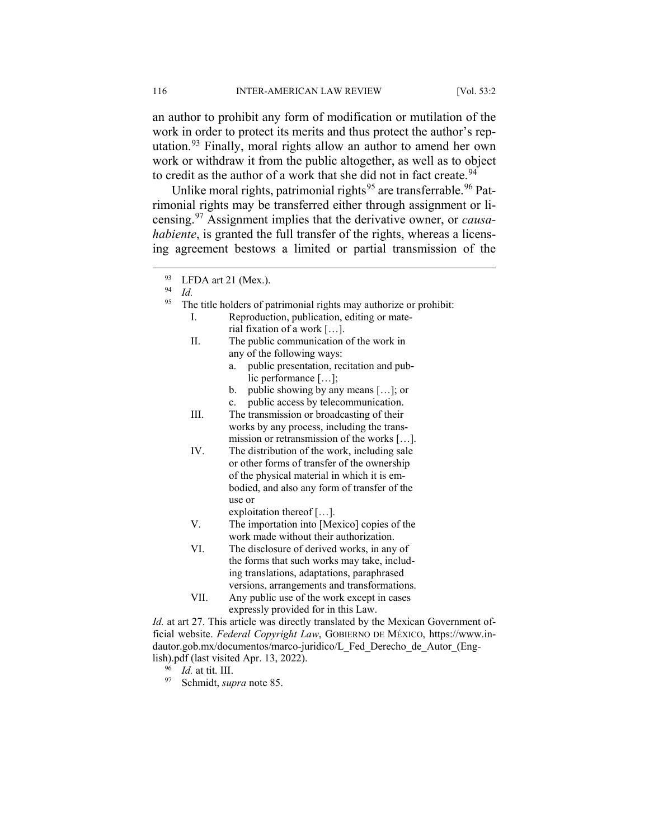an author to prohibit any form of modification or mutilation of the work in order to protect its merits and thus protect the author's reputation.[93](#page-14-0) Finally, moral rights allow an author to amend her own work or withdraw it from the public altogether, as well as to object to credit as the author of a work that she did not in fact create.<sup>[94](#page-14-1)</sup>

Unlike moral rights, patrimonial rights<sup>[95](#page-14-2)</sup> are transferrable.<sup>[96](#page-14-3)</sup> Patrimonial rights may be transferred either through assignment or licensing.[97](#page-14-4) Assignment implies that the derivative owner, or *causahabiente*, is granted the full transfer of the rights, whereas a licensing agreement bestows a limited or partial transmission of the

- The title holders of patrimonial rights may authorize or prohibit:
	- I. Reproduction, publication, editing or material fixation of a work […].
	- II. The public communication of the work in any of the following ways:
		- a. public presentation, recitation and public performance […];
		- b. public showing by any means […]; or
		- c. public access by telecommunication.

III. The transmission or broadcasting of their works by any process, including the transmission or retransmission of the works […].

- IV. The distribution of the work, including sale or other forms of transfer of the ownership of the physical material in which it is embodied, and also any form of transfer of the use or
	- exploitation thereof […].
- V. The importation into [Mexico] copies of the work made without their authorization.
- VI. The disclosure of derived works, in any of the forms that such works may take, including translations, adaptations, paraphrased versions, arrangements and transformations.
- VII. Any public use of the work except in cases expressly provided for in this Law.

<span id="page-14-4"></span><span id="page-14-3"></span>*Id.* at art 27. This article was directly translated by the Mexican Government official website. *Federal Copyright Law*, GOBIERNO DE MÉXICO, https://www.indautor.gob.mx/documentos/marco-juridico/L\_Fed\_Derecho\_de\_Autor\_(English).pdf (last visited Apr. 13, 2022).

<sup>96</sup> *Id.* at tit. III.

<sup>97</sup> Schmidt, *supra* note 85.

<span id="page-14-0"></span> $^{93}_{94}$  LFDA art 21 (Mex.).

<span id="page-14-2"></span><span id="page-14-1"></span><sup>94</sup> *Id.*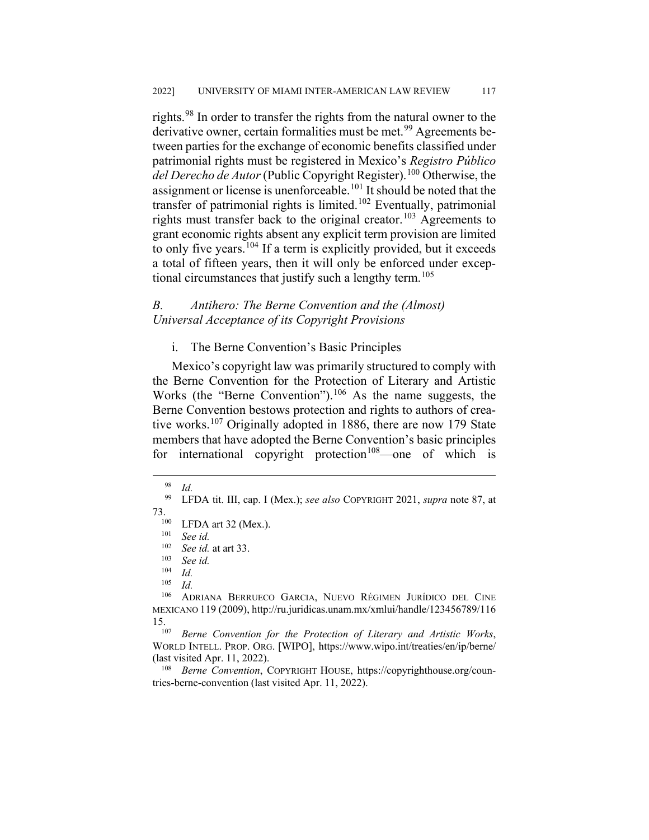rights.[98](#page-15-0) In order to transfer the rights from the natural owner to the derivative owner, certain formalities must be met.<sup>[99](#page-15-1)</sup> Agreements between parties for the exchange of economic benefits classified under patrimonial rights must be registered in Mexico's *Registro Público del Derecho de Autor* (Public Copyright Register).[100](#page-15-2) Otherwise, the assignment or license is unenforceable.[101](#page-15-3) It should be noted that the transfer of patrimonial rights is limited.<sup>[102](#page-15-4)</sup> Eventually, patrimonial rights must transfer back to the original creator.<sup>[103](#page-15-5)</sup> Agreements to grant economic rights absent any explicit term provision are limited to only five years.<sup>[104](#page-15-6)</sup> If a term is explicitly provided, but it exceeds a total of fifteen years, then it will only be enforced under excep-tional circumstances that justify such a lengthy term.<sup>[105](#page-15-7)</sup>

#### *B. Antihero: The Berne Convention and the (Almost) Universal Acceptance of its Copyright Provisions*

#### i. The Berne Convention's Basic Principles

Mexico's copyright law was primarily structured to comply with the Berne Convention for the Protection of Literary and Artistic Works (the "Berne Convention"). $106$  As the name suggests, the Berne Convention bestows protection and rights to authors of crea-tive works.<sup>[107](#page-15-9)</sup> Originally adopted in 1886, there are now 179 State members that have adopted the Berne Convention's basic principles for international copyright protection<sup>108</sup>—one of which is

 $\frac{98}{99}$  *Id.* 

<span id="page-15-3"></span><span id="page-15-2"></span><span id="page-15-1"></span><span id="page-15-0"></span><sup>99</sup> LFDA tit. III, cap. I (Mex.); *see also* COPYRIGHT 2021, *supra* note 87, at 73.<br> $^{100}$  LFDA art 32 (Mex.).<br> $^{101}$  See id.

 $\frac{101}{102}$  *See id.* 

<sup>102</sup> *See id.* at art 33.

 $\frac{103}{104}$  *See id.* 

 $\frac{104}{105}$  *Id.* 

 $\frac{105}{106}$  *Id.* 

<span id="page-15-8"></span><span id="page-15-7"></span><span id="page-15-6"></span><span id="page-15-5"></span><span id="page-15-4"></span><sup>106</sup> ADRIANA BERRUECO GARCIA, NUEVO RÉGIMEN JURÍDICO DEL CINE MEXICANO 119 (2009), http://ru.juridicas.unam.mx/xmlui/handle/123456789/116 15.107 *Berne Convention for the Protection of Literary and Artistic Works*,

<span id="page-15-9"></span>WORLD INTELL. PROP. ORG. [WIPO], https://www.wipo.int/treaties/en/ip/berne/ (last visited Apr. 11, 2022).

<span id="page-15-10"></span><sup>108</sup> *Berne Convention*, COPYRIGHT HOUSE, https://copyrighthouse.org/countries-berne-convention (last visited Apr. 11, 2022).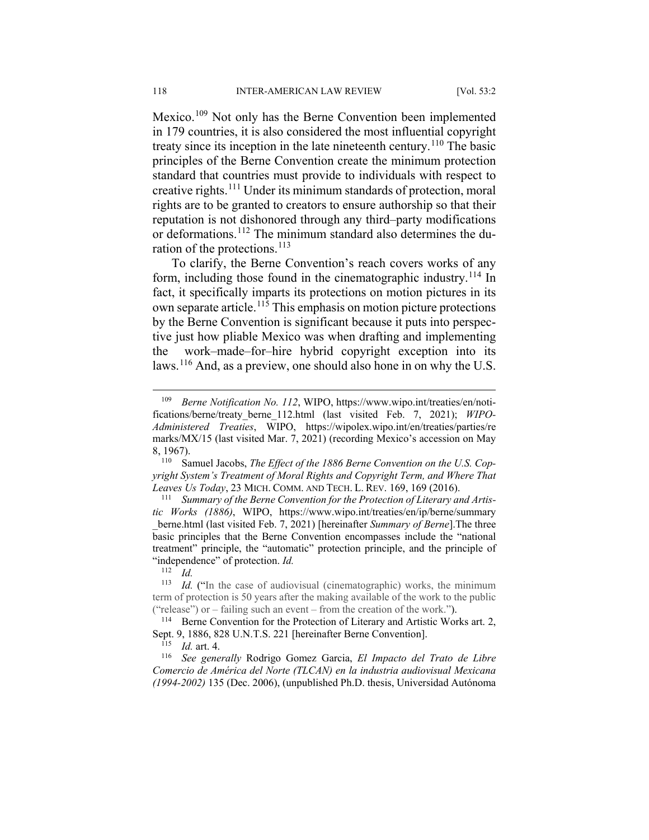Mexico.<sup>[109](#page-16-0)</sup> Not only has the Berne Convention been implemented in 179 countries, it is also considered the most influential copyright treaty since its inception in the late nineteenth century.[110](#page-16-1) The basic principles of the Berne Convention create the minimum protection standard that countries must provide to individuals with respect to creative rights.[111](#page-16-2) Under its minimum standards of protection, moral rights are to be granted to creators to ensure authorship so that their reputation is not dishonored through any third–party modifications or deformations.<sup>[112](#page-16-3)</sup> The minimum standard also determines the du-ration of the protections.<sup>[113](#page-16-4)</sup>

To clarify, the Berne Convention's reach covers works of any form, including those found in the cinematographic industry.<sup>[114](#page-16-5)</sup> In fact, it specifically imparts its protections on motion pictures in its own separate article.[115](#page-16-6) This emphasis on motion picture protections by the Berne Convention is significant because it puts into perspective just how pliable Mexico was when drafting and implementing the work–made–for–hire hybrid copyright exception into its laws.[116](#page-16-7) And, as a preview, one should also hone in on why the U.S.

 $\frac{112}{113}$  *Id.* 

<span id="page-16-7"></span><span id="page-16-6"></span><sup>116</sup> *See generally* Rodrigo Gomez Garcia, *El Impacto del Trato de Libre Comercio de América del Norte (TLCAN) en la industria audiovisual Mexicana (1994-2002)* 135 (Dec. 2006), (unpublished Ph.D. thesis, Universidad Autónoma

<span id="page-16-0"></span><sup>&</sup>lt;sup>109</sup> *Berne Notification No. 112*, WIPO, https://www.wipo.int/treaties/en/notifications/berne/treaty\_berne\_112.html (last visited Feb. 7, 2021); *WIPO-Administered Treaties*, WIPO, https://wipolex.wipo.int/en/treaties/parties/re marks/MX/15 (last visited Mar. 7, 2021) (recording Mexico's accession on May 8, 1967).

<span id="page-16-1"></span><sup>110</sup> Samuel Jacobs, *The Effect of the 1886 Berne Convention on the U.S. Copyright System's Treatment of Moral Rights and Copyright Term, and Where That Leaves Us Today*, 23 MICH. COMM. AND TECH. L. REV. 169, 169 (2016).

<span id="page-16-2"></span><sup>111</sup> *Summary of the Berne Convention for the Protection of Literary and Artistic Works (1886)*, WIPO, https://www.wipo.int/treaties/en/ip/berne/summary \_berne.html (last visited Feb. 7, 2021) [hereinafter *Summary of Berne*].The three basic principles that the Berne Convention encompasses include the "national treatment" principle, the "automatic" protection principle, and the principle of "independence" of protection.  $Id$ .

<span id="page-16-4"></span><span id="page-16-3"></span>*Id.* ("In the case of audiovisual (cinematographic) works, the minimum term of protection is 50 years after the making available of the work to the public ("release") or – failing such an event – from the creation of the work.").

<span id="page-16-5"></span><sup>&</sup>lt;sup>114</sup> Berne Convention for the Protection of Literary and Artistic Works art. 2, Sept. 9, 1886, 828 U.N.T.S. 221 [hereinafter Berne Convention].

<sup>115</sup> *Id.* art. 4.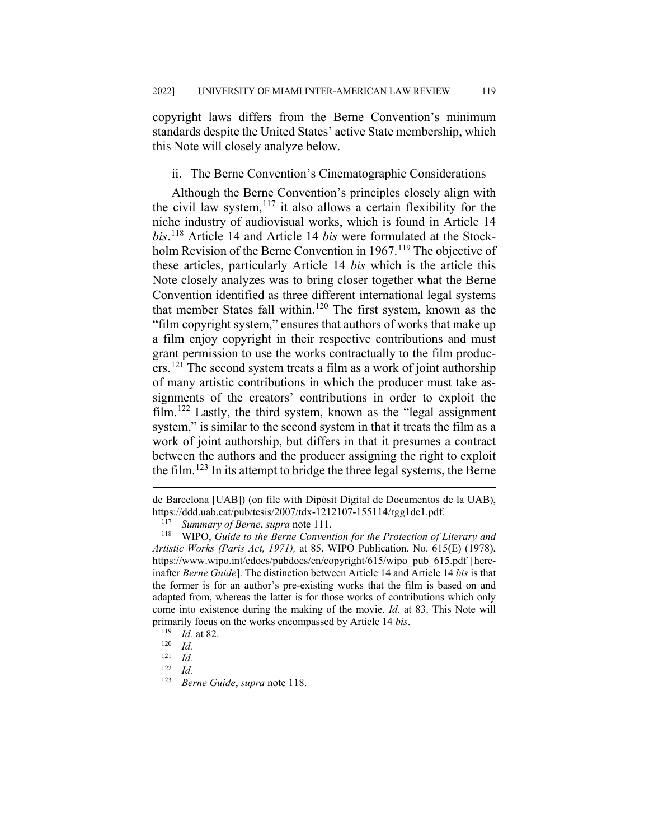copyright laws differs from the Berne Convention's minimum standards despite the United States' active State membership, which this Note will closely analyze below.

#### ii. The Berne Convention's Cinematographic Considerations

Although the Berne Convention's principles closely align with the civil law system, $117$  it also allows a certain flexibility for the niche industry of audiovisual works, which is found in Article 14 *bis*. [118](#page-17-1) Article 14 and Article 14 *bis* were formulated at the Stockholm Revision of the Berne Convention in  $1967$ .<sup>[119](#page-17-2)</sup> The objective of these articles, particularly Article 14 *bis* which is the article this Note closely analyzes was to bring closer together what the Berne Convention identified as three different international legal systems that member States fall within.<sup>[120](#page-17-3)</sup> The first system, known as the "film copyright system," ensures that authors of works that make up a film enjoy copyright in their respective contributions and must grant permission to use the works contractually to the film producers.[121](#page-17-4) The second system treats a film as a work of joint authorship of many artistic contributions in which the producer must take assignments of the creators' contributions in order to exploit the  $film.122$  $film.122$  Lastly, the third system, known as the "legal assignment" system," is similar to the second system in that it treats the film as a work of joint authorship, but differs in that it presumes a contract between the authors and the producer assigning the right to exploit the film.<sup>[123](#page-17-6)</sup> In its attempt to bridge the three legal systems, the Berne

de Barcelona [UAB]) (on file with Dipòsit Digital de Documentos de la UAB), https://ddd.uab.cat/pub/tesis/2007/tdx-1212107-155114/rgg1de1.pdf.<br><sup>117</sup> Summary of Berne, supra pote 111

<sup>117</sup> *Summary of Berne*, *supra* note 111.

<span id="page-17-1"></span><span id="page-17-0"></span><sup>118</sup> WIPO, *Guide to the Berne Convention for the Protection of Literary and Artistic Works (Paris Act, 1971),* at 85, WIPO Publication. No. 615(E) (1978), https://www.wipo.int/edocs/pubdocs/en/copyright/615/wipo\_pub\_615.pdf [hereinafter *Berne Guide*]. The distinction between Article 14 and Article 14 *bis* is that the former is for an author's pre-existing works that the film is based on and adapted from, whereas the latter is for those works of contributions which only come into existence during the making of the movie. *Id.* at 83. This Note will primarily focus on the works encompassed by Article 14 *bis*.<br><sup>119</sup> *Id* at 82

<span id="page-17-2"></span> $\frac{119}{120}$  *Id.* at 82.

<span id="page-17-3"></span> $\frac{120}{121}$  *Id.* 

<span id="page-17-5"></span><span id="page-17-4"></span> $\frac{121}{122}$  *Id.* 

<span id="page-17-6"></span> $\frac{122}{123}$  *Id.* 

<sup>123</sup> *Berne Guide*, *supra* note 118.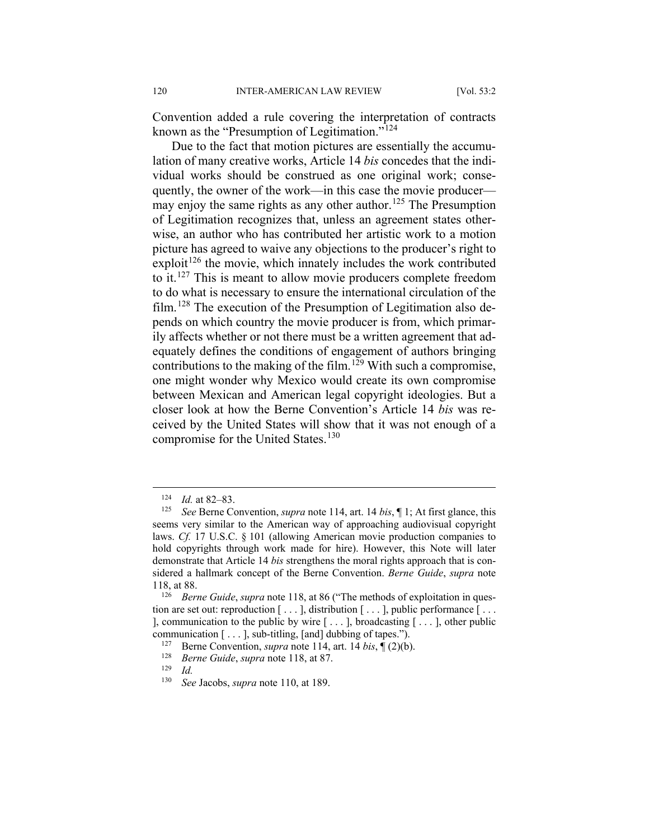Convention added a rule covering the interpretation of contracts known as the "Presumption of Legitimation."[124](#page-18-0)

Due to the fact that motion pictures are essentially the accumulation of many creative works, Article 14 *bis* concedes that the individual works should be construed as one original work; consequently, the owner of the work—in this case the movie producer— may enjoy the same rights as any other author.<sup>[125](#page-18-1)</sup> The Presumption of Legitimation recognizes that, unless an agreement states otherwise, an author who has contributed her artistic work to a motion picture has agreed to waive any objections to the producer's right to  $exploit<sup>126</sup>$  $exploit<sup>126</sup>$  $exploit<sup>126</sup>$  the movie, which innately includes the work contributed to it.<sup>[127](#page-18-3)</sup> This is meant to allow movie producers complete freedom to do what is necessary to ensure the international circulation of the film.[128](#page-18-4) The execution of the Presumption of Legitimation also depends on which country the movie producer is from, which primarily affects whether or not there must be a written agreement that adequately defines the conditions of engagement of authors bringing contributions to the making of the film.<sup>[129](#page-18-5)</sup> With such a compromise, one might wonder why Mexico would create its own compromise between Mexican and American legal copyright ideologies. But a closer look at how the Berne Convention's Article 14 *bis* was received by the United States will show that it was not enough of a compromise for the United States.<sup>[130](#page-18-6)</sup>

<sup>&</sup>lt;sup>124</sup> *Id.* at 82–83.<br><sup>125</sup> See Berne Co.

<span id="page-18-1"></span><span id="page-18-0"></span>*See* Berne Convention, *supra* note 114, art. 14 *bis*, 1; At first glance, this seems very similar to the American way of approaching audiovisual copyright laws. *Cf.* 17 U.S.C. § 101 (allowing American movie production companies to hold copyrights through work made for hire). However, this Note will later demonstrate that Article 14 *bis* strengthens the moral rights approach that is considered a hallmark concept of the Berne Convention. *Berne Guide*, *supra* note 118, at 88.

<span id="page-18-3"></span><span id="page-18-2"></span><sup>&</sup>lt;sup>126</sup> *Berne Guide, supra* note 118, at 86 ("The methods of exploitation in question are set out: reproduction  $[\ldots]$ , distribution  $[\ldots]$ , public performance  $[\ldots]$ ], communication to the public by wire  $[\dots]$ , broadcasting  $[\dots]$ , other public communication [ . . . ], sub-titling, [and] dubbing of tapes.").

<sup>&</sup>lt;sup>127</sup> Berne Convention, *supra* note 114, art. 14 *bis*,  $\P$  (2)(b).

<span id="page-18-5"></span><span id="page-18-4"></span><sup>128</sup> *Berne Guide*, *supra* note 118, at 87.

<span id="page-18-6"></span> $\frac{129}{130}$  *Id.* 

<sup>130</sup> *See* Jacobs, *supra* note 110, at 189.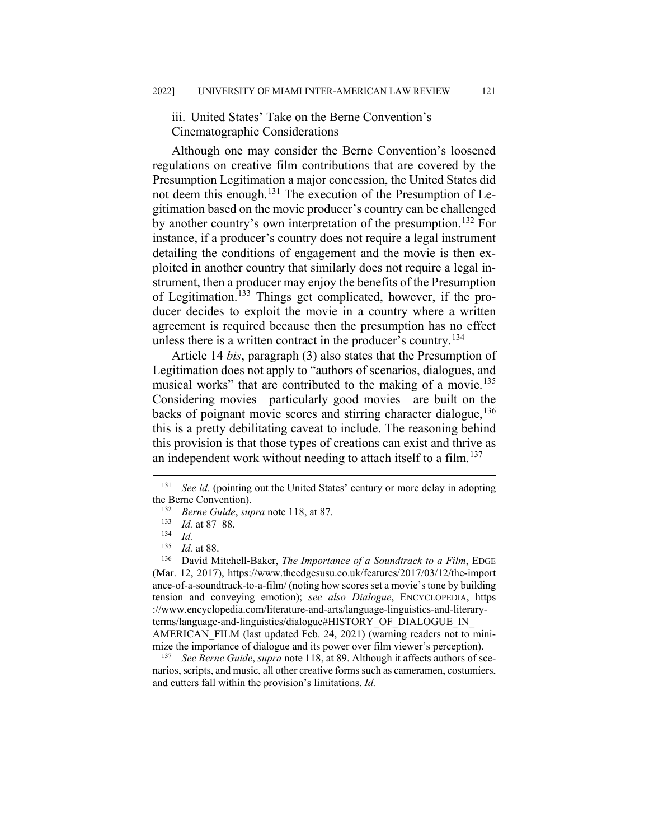iii. United States' Take on the Berne Convention's Cinematographic Considerations

Although one may consider the Berne Convention's loosened regulations on creative film contributions that are covered by the Presumption Legitimation a major concession, the United States did not deem this enough.<sup>[131](#page-19-0)</sup> The execution of the Presumption of Legitimation based on the movie producer's country can be challenged by another country's own interpretation of the presumption.<sup>[132](#page-19-1)</sup> For instance, if a producer's country does not require a legal instrument detailing the conditions of engagement and the movie is then exploited in another country that similarly does not require a legal instrument, then a producer may enjoy the benefits of the Presumption of Legitimation.[133](#page-19-2) Things get complicated, however, if the producer decides to exploit the movie in a country where a written agreement is required because then the presumption has no effect unless there is a written contract in the producer's country.<sup>[134](#page-19-3)</sup>

Article 14 *bis*, paragraph (3) also states that the Presumption of Legitimation does not apply to "authors of scenarios, dialogues, and musical works" that are contributed to the making of a movie.<sup>[135](#page-19-4)</sup> Considering movies—particularly good movies—are built on the backs of poignant movie scores and stirring character dialogue,<sup>[136](#page-19-5)</sup> this is a pretty debilitating caveat to include. The reasoning behind this provision is that those types of creations can exist and thrive as an independent work without needing to attach itself to a film.<sup>[137](#page-19-6)</sup>

<span id="page-19-6"></span><sup>137</sup> *See Berne Guide*, *supra* note 118, at 89. Although it affects authors of scenarios, scripts, and music, all other creative forms such as cameramen, costumiers, and cutters fall within the provision's limitations. *Id.*

<span id="page-19-1"></span><span id="page-19-0"></span> <sup>131</sup> *See id.* (pointing out the United States' century or more delay in adopting the Berne Convention).<br><sup>132</sup> Barne Guide, sur-

<sup>132</sup> *Berne Guide*, *supra* note 118, at 87.

 $\frac{133}{134}$  *Id.* at 87–88.

 $\frac{134}{135}$  *Id.* 

 $\frac{135}{136}$  *Id.* at 88.

<span id="page-19-5"></span><span id="page-19-4"></span><span id="page-19-3"></span><span id="page-19-2"></span><sup>136</sup> David Mitchell-Baker, *The Importance of a Soundtrack to a Film*, EDGE (Mar. 12, 2017), https://www.theedgesusu.co.uk/features/2017/03/12/the-import ance-of-a-soundtrack-to-a-film/ (noting how scores set a movie's tone by building tension and conveying emotion); *see also Dialogue*, ENCYCLOPEDIA, https ://www.encyclopedia.com/literature-and-arts/language-linguistics-and-literaryterms/language-and-linguistics/dialogue#HISTORY\_OF\_DIALOGUE\_IN\_ AMERICAN FILM (last updated Feb. 24, 2021) (warning readers not to minimize the importance of dialogue and its power over film viewer's perception).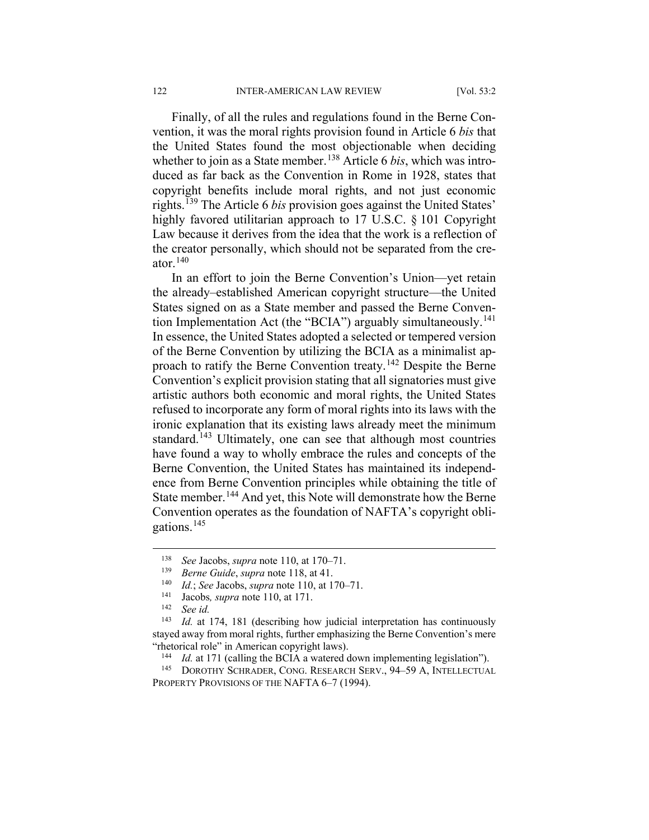Finally, of all the rules and regulations found in the Berne Convention, it was the moral rights provision found in Article 6 *bis* that the United States found the most objectionable when deciding whether to join as a State member.<sup>[138](#page-20-0)</sup> Article 6 *bis*, which was introduced as far back as the Convention in Rome in 1928, states that copyright benefits include moral rights, and not just economic rights.[139](#page-20-1) The Article 6 *bis* provision goes against the United States' highly favored utilitarian approach to 17 U.S.C. § 101 Copyright Law because it derives from the idea that the work is a reflection of the creator personally, which should not be separated from the creator. $140$ 

In an effort to join the Berne Convention's Union—yet retain the already–established American copyright structure—the United States signed on as a State member and passed the Berne Conven-tion Implementation Act (the "BCIA") arguably simultaneously.<sup>[141](#page-20-3)</sup> In essence, the United States adopted a selected or tempered version of the Berne Convention by utilizing the BCIA as a minimalist ap-proach to ratify the Berne Convention treaty.<sup>[142](#page-20-4)</sup> Despite the Berne Convention's explicit provision stating that all signatories must give artistic authors both economic and moral rights, the United States refused to incorporate any form of moral rights into its laws with the ironic explanation that its existing laws already meet the minimum standard.<sup>[143](#page-20-5)</sup> Ultimately, one can see that although most countries have found a way to wholly embrace the rules and concepts of the Berne Convention, the United States has maintained its independence from Berne Convention principles while obtaining the title of State member.<sup>[144](#page-20-6)</sup> And yet, this Note will demonstrate how the Berne Convention operates as the foundation of NAFTA's copyright obligations.[145](#page-20-7)

 <sup>138</sup> *See* Jacobs, *supra* note 110, at 170–71.

<span id="page-20-0"></span><sup>139</sup> *Berne Guide*, *supra* note 118, at 41.

<sup>140</sup> *Id.*; *See* Jacobs, *supra* note 110, at 170–71.

<sup>&</sup>lt;sup>141</sup> Jacobs, *supra* note 110, at 171.

<sup>&</sup>lt;sup>142</sup> *See id.*<br><sup>143</sup> *Id* at

<span id="page-20-5"></span><span id="page-20-4"></span><span id="page-20-3"></span><span id="page-20-2"></span><span id="page-20-1"></span>*Id.* at 174, 181 (describing how judicial interpretation has continuously stayed away from moral rights, further emphasizing the Berne Convention's mere "rhetorical role" in American copyright laws).

<sup>&</sup>lt;sup>144</sup> *Id.* at 171 (calling the BCIA a watered down implementing legislation").

<span id="page-20-7"></span><span id="page-20-6"></span><sup>145</sup> DOROTHY SCHRADER, CONG. RESEARCH SERV., 94–59 A, INTELLECTUAL PROPERTY PROVISIONS OF THE NAFTA 6-7 (1994).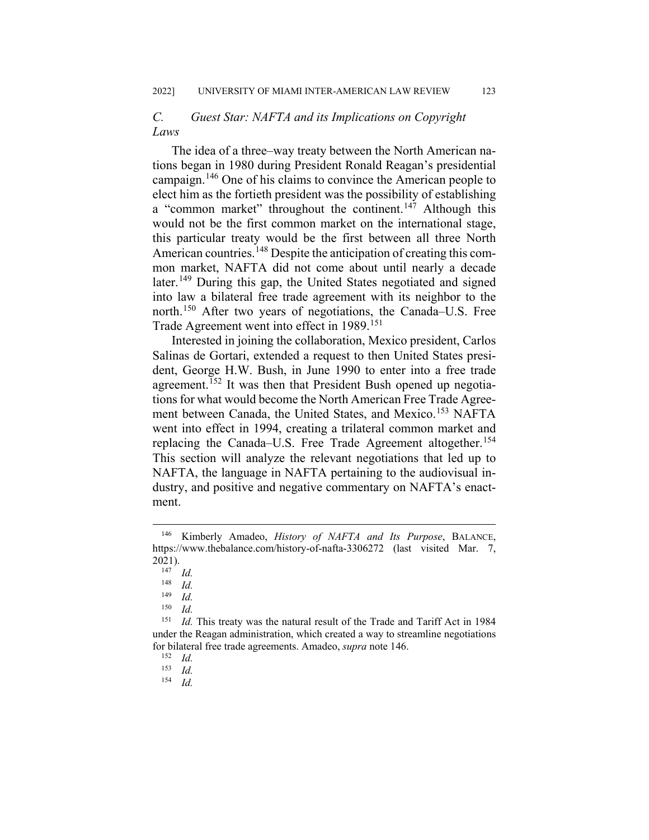## *C. Guest Star: NAFTA and its Implications on Copyright Laws*

The idea of a three–way treaty between the North American nations began in 1980 during President Ronald Reagan's presidential campaign.[146](#page-21-0) One of his claims to convince the American people to elect him as the fortieth president was the possibility of establishing a "common market" throughout the continent.<sup>[147](#page-21-1)</sup> Although this would not be the first common market on the international stage, this particular treaty would be the first between all three North American countries.<sup>[148](#page-21-2)</sup> Despite the anticipation of creating this common market, NAFTA did not come about until nearly a decade later.<sup>[149](#page-21-3)</sup> During this gap, the United States negotiated and signed into law a bilateral free trade agreement with its neighbor to the north.<sup>[150](#page-21-4)</sup> After two years of negotiations, the Canada–U.S. Free Trade Agreement went into effect in 1989.<sup>[151](#page-21-5)</sup>

Interested in joining the collaboration, Mexico president, Carlos Salinas de Gortari, extended a request to then United States president, George H.W. Bush, in June 1990 to enter into a free trade agreement.<sup>[152](#page-21-6)</sup> It was then that President Bush opened up negotiations for what would become the North American Free Trade Agree-ment between Canada, the United States, and Mexico.<sup>[153](#page-21-7)</sup> NAFTA went into effect in 1994, creating a trilateral common market and replacing the Canada–U.S. Free Trade Agreement altogether.<sup>[154](#page-21-8)</sup> This section will analyze the relevant negotiations that led up to NAFTA, the language in NAFTA pertaining to the audiovisual industry, and positive and negative commentary on NAFTA's enactment.

<sup>154</sup> *Id.*

<span id="page-21-1"></span><span id="page-21-0"></span> <sup>146</sup> Kimberly Amadeo, *History of NAFTA and Its Purpose*, BALANCE, https://www.thebalance.com/history-of-nafta-3306272 (last visited Mar. 7, 2021).

 $\frac{147}{148}$  *Id.* 

 $\frac{148}{149}$  *Id.* 

 $\frac{149}{150}$  *Id.* 

 $\frac{150}{151}$  *Id.* 

<span id="page-21-7"></span><span id="page-21-6"></span><span id="page-21-5"></span><span id="page-21-4"></span><span id="page-21-3"></span><span id="page-21-2"></span>Id. This treaty was the natural result of the Trade and Tariff Act in 1984 under the Reagan administration, which created a way to streamline negotiations for bilateral free trade agreements. Amadeo, *supra* note 146.

 $\frac{152}{153}$  *Id.* 

<span id="page-21-8"></span> $\frac{153}{154}$  *Id.*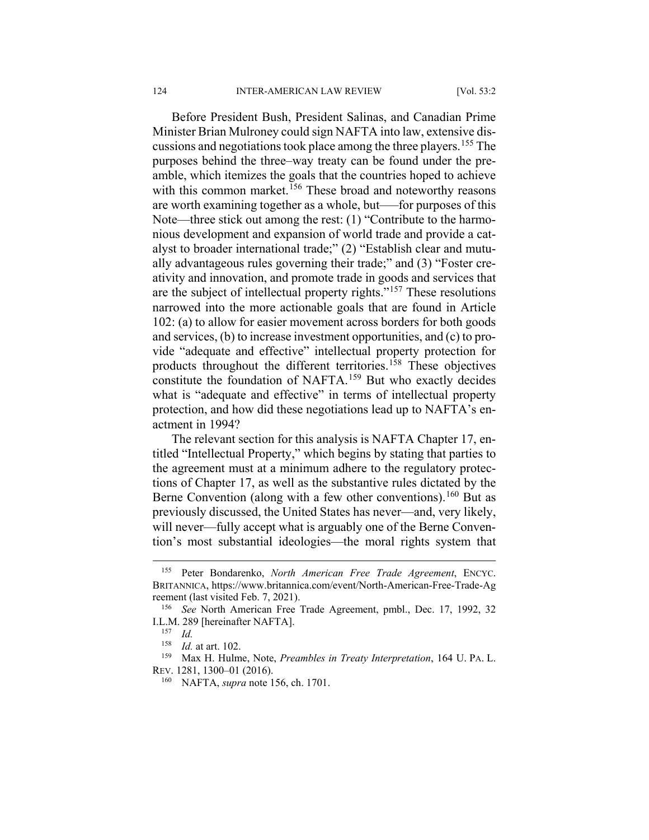Before President Bush, President Salinas, and Canadian Prime Minister Brian Mulroney could sign NAFTA into law, extensive discussions and negotiations took place among the three players.[155](#page-22-0) The purposes behind the three–way treaty can be found under the preamble, which itemizes the goals that the countries hoped to achieve with this common market.<sup>[156](#page-22-1)</sup> These broad and noteworthy reasons are worth examining together as a whole, but—for purposes of this Note—three stick out among the rest: (1) "Contribute to the harmonious development and expansion of world trade and provide a catalyst to broader international trade;" (2) "Establish clear and mutually advantageous rules governing their trade;" and (3) "Foster creativity and innovation, and promote trade in goods and services that are the subject of intellectual property rights."[157](#page-22-2) These resolutions narrowed into the more actionable goals that are found in Article 102: (a) to allow for easier movement across borders for both goods and services, (b) to increase investment opportunities, and (c) to provide "adequate and effective" intellectual property protection for products throughout the different territories.[158](#page-22-3) These objectives constitute the foundation of NAFTA.<sup>[159](#page-22-4)</sup> But who exactly decides what is "adequate and effective" in terms of intellectual property protection, and how did these negotiations lead up to NAFTA's enactment in 1994?

The relevant section for this analysis is NAFTA Chapter 17, entitled "Intellectual Property," which begins by stating that parties to the agreement must at a minimum adhere to the regulatory protections of Chapter 17, as well as the substantive rules dictated by the Berne Convention (along with a few other conventions).<sup>[160](#page-22-5)</sup> But as previously discussed, the United States has never—and, very likely, will never—fully accept what is arguably one of the Berne Convention's most substantial ideologies—the moral rights system that

<span id="page-22-5"></span><span id="page-22-4"></span><span id="page-22-3"></span><sup>159</sup> Max H. Hulme, Note, *Preambles in Treaty Interpretation*, 164 U. PA. L. REV. 1281, 1300–01 (2016).

<span id="page-22-0"></span> <sup>155</sup> Peter Bondarenko, *North American Free Trade Agreement*, ENCYC. BRITANNICA, https://www.britannica.com/event/North-American-Free-Trade-Ag reement (last visited Feb. 7, 2021).

<span id="page-22-2"></span><span id="page-22-1"></span><sup>156</sup> *See* North American Free Trade Agreement, pmbl., Dec. 17, 1992, 32 I.L.M. 289 [hereinafter NAFTA].

 $\frac{157}{158}$  *Id.* 

*Id.* at art. 102.

<sup>160</sup> NAFTA, *supra* note 156, ch. 1701.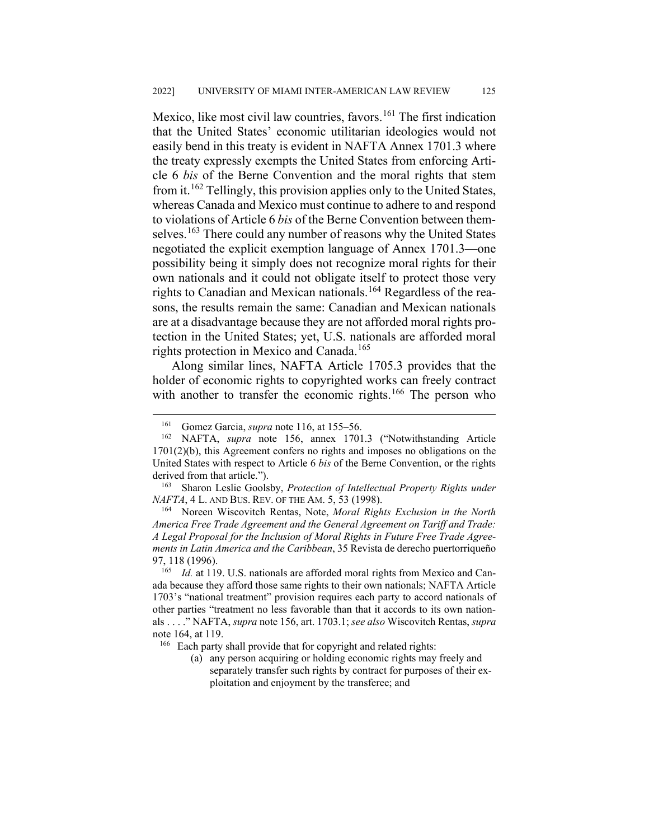Mexico, like most civil law countries, favors.<sup>[161](#page-23-0)</sup> The first indication that the United States' economic utilitarian ideologies would not easily bend in this treaty is evident in NAFTA Annex 1701.3 where the treaty expressly exempts the United States from enforcing Article 6 *bis* of the Berne Convention and the moral rights that stem from it.[162](#page-23-1) Tellingly, this provision applies only to the United States, whereas Canada and Mexico must continue to adhere to and respond to violations of Article 6 *bis* of the Berne Convention between them-selves.<sup>[163](#page-23-2)</sup> There could any number of reasons why the United States negotiated the explicit exemption language of Annex 1701.3—one possibility being it simply does not recognize moral rights for their own nationals and it could not obligate itself to protect those very rights to Canadian and Mexican nationals.<sup>[164](#page-23-3)</sup> Regardless of the reasons, the results remain the same: Canadian and Mexican nationals are at a disadvantage because they are not afforded moral rights protection in the United States; yet, U.S. nationals are afforded moral rights protection in Mexico and Canada.<sup>[165](#page-23-4)</sup>

Along similar lines, NAFTA Article 1705.3 provides that the holder of economic rights to copyrighted works can freely contract with another to transfer the economic rights.<sup>[166](#page-23-5)</sup> The person who

<span id="page-23-3"></span><sup>164</sup> Noreen Wiscovitch Rentas, Note, *Moral Rights Exclusion in the North America Free Trade Agreement and the General Agreement on Tariff and Trade: A Legal Proposal for the Inclusion of Moral Rights in Future Free Trade Agreements in Latin America and the Caribbean*, 35 Revista de derecho puertorriqueño 97, 118 (1996).

(a) any person acquiring or holding economic rights may freely and separately transfer such rights by contract for purposes of their exploitation and enjoyment by the transferee; and

 <sup>161</sup> Gomez Garcia, *supra* note 116, at 155–56.

<span id="page-23-1"></span><span id="page-23-0"></span><sup>162</sup> NAFTA, *supra* note 156, annex 1701.3 ("Notwithstanding Article 1701(2)(b), this Agreement confers no rights and imposes no obligations on the United States with respect to Article 6 *bis* of the Berne Convention, or the rights derived from that article.").

<span id="page-23-2"></span><sup>163</sup> Sharon Leslie Goolsby, *Protection of Intellectual Property Rights under NAFTA*, 4 L. AND BUS. REV. OF THE AM. 5, 53 (1998).

<span id="page-23-4"></span><sup>&</sup>lt;sup>165</sup> *Id.* at 119. U.S. nationals are afforded moral rights from Mexico and Canada because they afford those same rights to their own nationals; NAFTA Article 1703's "national treatment" provision requires each party to accord nationals of other parties "treatment no less favorable than that it accords to its own nationals . . . ." NAFTA, *supra* note 156, art. 1703.1; *see also* Wiscovitch Rentas, *supra*  note 164, at 119.

<span id="page-23-5"></span><sup>&</sup>lt;sup>166</sup> Each party shall provide that for copyright and related rights: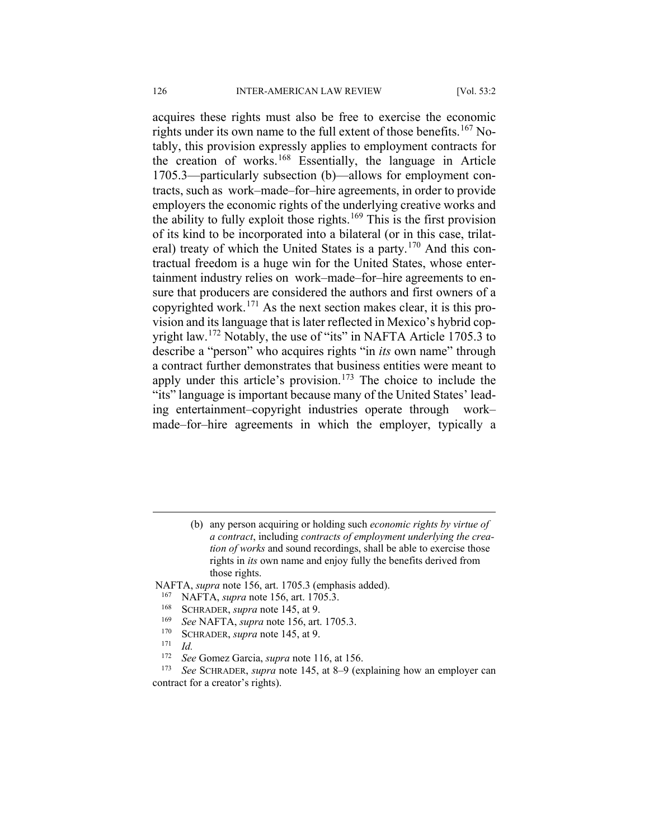acquires these rights must also be free to exercise the economic rights under its own name to the full extent of those benefits.<sup>[167](#page-24-0)</sup> Notably, this provision expressly applies to employment contracts for the creation of works.<sup>[168](#page-24-1)</sup> Essentially, the language in Article 1705.3—particularly subsection (b)—allows for employment contracts, such as work–made–for–hire agreements, in order to provide employers the economic rights of the underlying creative works and the ability to fully exploit those rights.<sup>[169](#page-24-2)</sup> This is the first provision of its kind to be incorporated into a bilateral (or in this case, trilat-eral) treaty of which the United States is a party.<sup>[170](#page-24-3)</sup> And this contractual freedom is a huge win for the United States, whose entertainment industry relies on work–made–for–hire agreements to ensure that producers are considered the authors and first owners of a copyrighted work.<sup>[171](#page-24-4)</sup> As the next section makes clear, it is this provision and its language that is later reflected in Mexico's hybrid cop-yright law.<sup>[172](#page-24-5)</sup> Notably, the use of "its" in NAFTA Article 1705.3 to describe a "person" who acquires rights "in *its* own name" through a contract further demonstrates that business entities were meant to apply under this article's provision.<sup>[173](#page-24-6)</sup> The choice to include the "its" language is important because many of the United States' leading entertainment–copyright industries operate through work– made–for–hire agreements in which the employer, typically a

<span id="page-24-2"></span><span id="page-24-1"></span><span id="page-24-0"></span>NAFTA, *supra* note 156, art. 1705.3 (emphasis added).

- <sup>167</sup> NAFTA, *supra* note 156, art. 1705.3.<br><sup>168</sup> SCHRADER *supra* note 145, at 9
- <sup>168</sup> SCHRADER, *supra* note 145, at 9.<br><sup>169</sup> Sae NAETA, supra pote 156, art
- <sup>169</sup> *See* NAFTA, *supra* note 156, art. 1705.3.
- <sup>170</sup> SCHRADER, *supra* note 145, at 9.<br><sup>171</sup> Id
- $\frac{171}{172}$  *Id.*
- <sup>172</sup> *See* Gomez Garcia, *supra* note 116, at 156.

<span id="page-24-6"></span><span id="page-24-5"></span><span id="page-24-4"></span><span id="page-24-3"></span>See SCHRADER, *supra* note 145, at 8–9 (explaining how an employer can contract for a creator's rights).

 <sup>(</sup>b) any person acquiring or holding such *economic rights by virtue of a contract*, including *contracts of employment underlying the creation of works* and sound recordings, shall be able to exercise those rights in *its* own name and enjoy fully the benefits derived from those rights.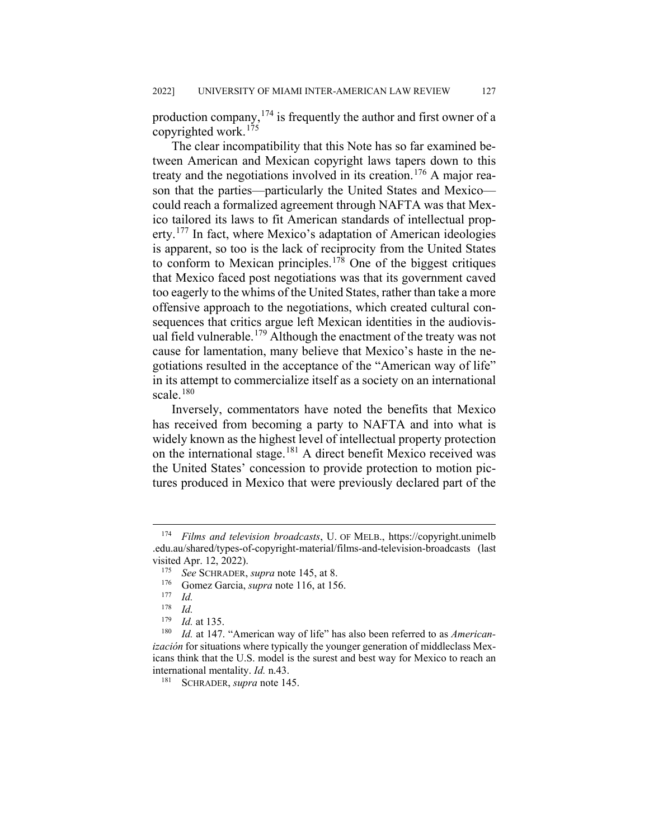production company,  $174$  is frequently the author and first owner of a copyrighted work.<sup>[175](#page-25-1)</sup>

The clear incompatibility that this Note has so far examined between American and Mexican copyright laws tapers down to this treaty and the negotiations involved in its creation.<sup>[176](#page-25-2)</sup> A major reason that the parties—particularly the United States and Mexico could reach a formalized agreement through NAFTA was that Mexico tailored its laws to fit American standards of intellectual prop-erty.<sup>[177](#page-25-3)</sup> In fact, where Mexico's adaptation of American ideologies is apparent, so too is the lack of reciprocity from the United States to conform to Mexican principles.<sup>[178](#page-25-4)</sup> One of the biggest critiques that Mexico faced post negotiations was that its government caved too eagerly to the whims of the United States, rather than take a more offensive approach to the negotiations, which created cultural consequences that critics argue left Mexican identities in the audiovis-ual field vulnerable.<sup>[179](#page-25-5)</sup> Although the enactment of the treaty was not cause for lamentation, many believe that Mexico's haste in the negotiations resulted in the acceptance of the "American way of life" in its attempt to commercialize itself as a society on an international scale.<sup>[180](#page-25-6)</sup>

Inversely, commentators have noted the benefits that Mexico has received from becoming a party to NAFTA and into what is widely known as the highest level of intellectual property protection on the international stage.[181](#page-25-7) A direct benefit Mexico received was the United States' concession to provide protection to motion pictures produced in Mexico that were previously declared part of the

<span id="page-25-1"></span><span id="page-25-0"></span> <sup>174</sup> *Films and television broadcasts*, U. OF MELB., https://copyright.unimelb .edu.au/shared/types-of-copyright-material/films-and-television-broadcasts (last visited Apr. 12, 2022).

<sup>&</sup>lt;sup>175</sup> *See* SCHRADER, *supra* note 145, at 8.<br><sup>176</sup> Gomez Garcia, *supra* pote 116, at 15

<sup>&</sup>lt;sup>176</sup> Gomez Garcia, *supra* note 116, at 156.

 $\frac{177}{178}$  *Id.* 

 $\frac{178}{179}$  *Id. Id.* at 135.

<span id="page-25-7"></span><span id="page-25-6"></span><span id="page-25-5"></span><span id="page-25-4"></span><span id="page-25-3"></span><span id="page-25-2"></span><sup>180</sup> *Id.* at 147. "American way of life" has also been referred to as *Americanización* for situations where typically the younger generation of middleclass Mexicans think that the U.S. model is the surest and best way for Mexico to reach an international mentality. *Id.* n.43.

<sup>181</sup> SCHRADER, *supra* note 145.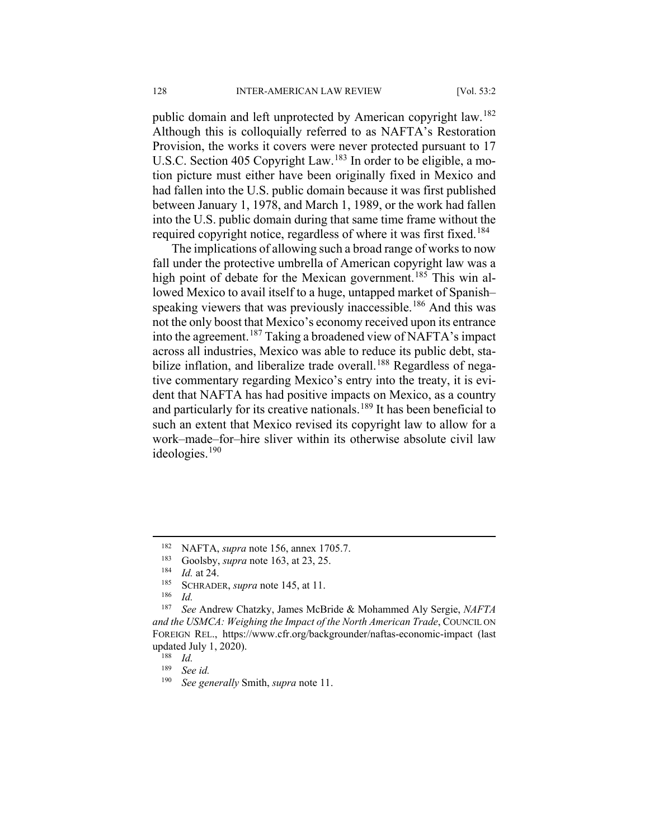public domain and left unprotected by American copyright law.<sup>[182](#page-26-0)</sup> Although this is colloquially referred to as NAFTA's Restoration Provision, the works it covers were never protected pursuant to 17 U.S.C. Section 405 Copyright Law. <sup>[183](#page-26-1)</sup> In order to be eligible, a motion picture must either have been originally fixed in Mexico and had fallen into the U.S. public domain because it was first published between January 1, 1978, and March 1, 1989, or the work had fallen into the U.S. public domain during that same time frame without the required copyright notice, regardless of where it was first fixed.<sup>[184](#page-26-2)</sup>

The implications of allowing such a broad range of works to now fall under the protective umbrella of American copyright law was a high point of debate for the Mexican government.<sup>[185](#page-26-3)</sup> This win allowed Mexico to avail itself to a huge, untapped market of Spanish– speaking viewers that was previously inaccessible.<sup>[186](#page-26-4)</sup> And this was not the only boost that Mexico's economy received upon its entrance into the agreement.<sup>[187](#page-26-5)</sup> Taking a broadened view of NAFTA's impact across all industries, Mexico was able to reduce its public debt, sta-bilize inflation, and liberalize trade overall.<sup>[188](#page-26-6)</sup> Regardless of negative commentary regarding Mexico's entry into the treaty, it is evident that NAFTA has had positive impacts on Mexico, as a country and particularly for its creative nationals.<sup>[189](#page-26-7)</sup> It has been beneficial to such an extent that Mexico revised its copyright law to allow for a work–made–for–hire sliver within its otherwise absolute civil law ideologies.[190](#page-26-8)

<span id="page-26-0"></span><sup>&</sup>lt;sup>182</sup> NAFTA, *supra* note 156, annex 1705.7.<br><sup>183</sup> Goolshy, *supra* note 163, at 23, 25

<sup>&</sup>lt;sup>183</sup> Goolsby, *supra* note 163, at 23, 25.<br><sup>184</sup> *Id at 24* 

 $\frac{184}{185}$  *Id.* at 24.

<sup>&</sup>lt;sup>185</sup> SCHRADER, *supra* note 145, at 11.

 $\frac{186}{187}$  *Id.* 

<span id="page-26-6"></span><span id="page-26-5"></span><span id="page-26-4"></span><span id="page-26-3"></span><span id="page-26-2"></span><span id="page-26-1"></span><sup>187</sup> *See* Andrew Chatzky, James McBride & Mohammed Aly Sergie, *NAFTA and the USMCA: Weighing the Impact of the North American Trade*, COUNCIL ON FOREIGN REL., https://www.cfr.org/backgrounder/naftas-economic-impact (last updated July 1, 2020).

<span id="page-26-7"></span> $\frac{188}{189}$  *Id.* 

<span id="page-26-8"></span> $\frac{189}{190}$  *See id.* 

<sup>190</sup> *See generally* Smith, *supra* note 11.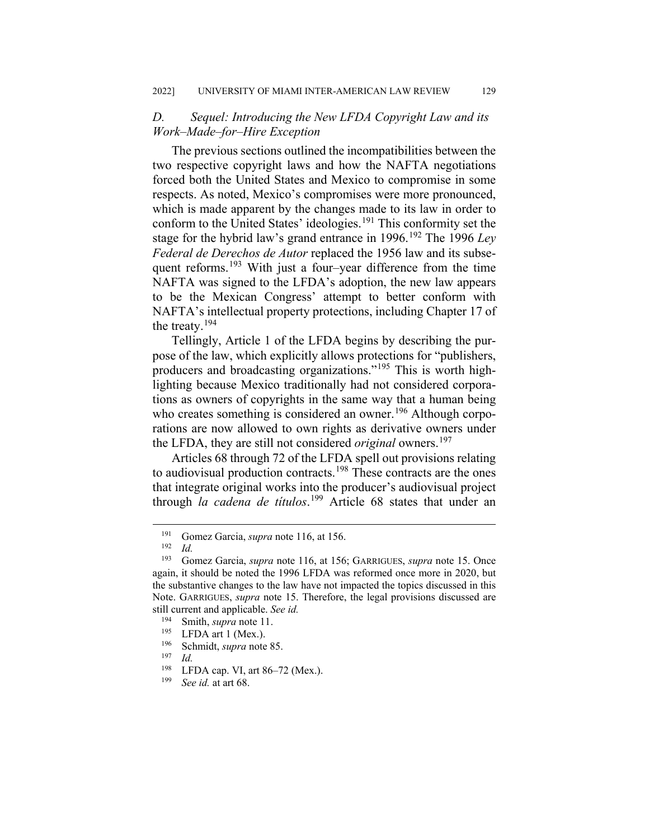### *D. Sequel: Introducing the New LFDA Copyright Law and its Work–Made–for–Hire Exception*

The previous sections outlined the incompatibilities between the two respective copyright laws and how the NAFTA negotiations forced both the United States and Mexico to compromise in some respects. As noted, Mexico's compromises were more pronounced, which is made apparent by the changes made to its law in order to conform to the United States' ideologies.<sup>[191](#page-27-0)</sup> This conformity set the stage for the hybrid law's grand entrance in 1996.[192](#page-27-1) The 1996 *Ley Federal de Derechos de Autor* replaced the 1956 law and its subse-quent reforms.<sup>[193](#page-27-2)</sup> With just a four–year difference from the time NAFTA was signed to the LFDA's adoption, the new law appears to be the Mexican Congress' attempt to better conform with NAFTA's intellectual property protections, including Chapter 17 of the treaty.[194](#page-27-3)

Tellingly, Article 1 of the LFDA begins by describing the purpose of the law, which explicitly allows protections for "publishers, producers and broadcasting organizations."[195](#page-27-4) This is worth highlighting because Mexico traditionally had not considered corporations as owners of copyrights in the same way that a human being who creates something is considered an owner.<sup>[196](#page-27-5)</sup> Although corporations are now allowed to own rights as derivative owners under the LFDA, they are still not considered *original* owners. [197](#page-27-6)

Articles 68 through 72 of the LFDA spell out provisions relating to audiovisual production contracts.<sup>[198](#page-27-7)</sup> These contracts are the ones that integrate original works into the producer's audiovisual project through *la cadena de títulos*. [199](#page-27-8) Article 68 states that under an

<sup>&</sup>lt;sup>191</sup> Gomez Garcia, *supra* note 116, at 156.

 $\frac{192}{193}$  *Id.* 

<span id="page-27-2"></span><span id="page-27-1"></span><span id="page-27-0"></span>Gomez Garcia, *supra* note 116, at 156; GARRIGUES, *supra* note 15. Once again, it should be noted the 1996 LFDA was reformed once more in 2020, but the substantive changes to the law have not impacted the topics discussed in this Note. GARRIGUES, *supra* note 15. Therefore, the legal provisions discussed are still current and applicable. *See id.*

<span id="page-27-3"></span><sup>&</sup>lt;sup>194</sup> Smith, *supra* note 11.<br><sup>195</sup> LEDA art 1 (Mex)

<span id="page-27-5"></span><span id="page-27-4"></span> $^{195}$  LFDA art 1 (Mex.).

<sup>196</sup> Schmidt, *supra* note 85.

<span id="page-27-7"></span><span id="page-27-6"></span> $\frac{197}{198}$  *Id.* 

<span id="page-27-8"></span><sup>&</sup>lt;sup>198</sup> LFDA cap. VI, art 86–72 (Mex.).<br><sup>199</sup> See id, at art 68

See id. at art 68.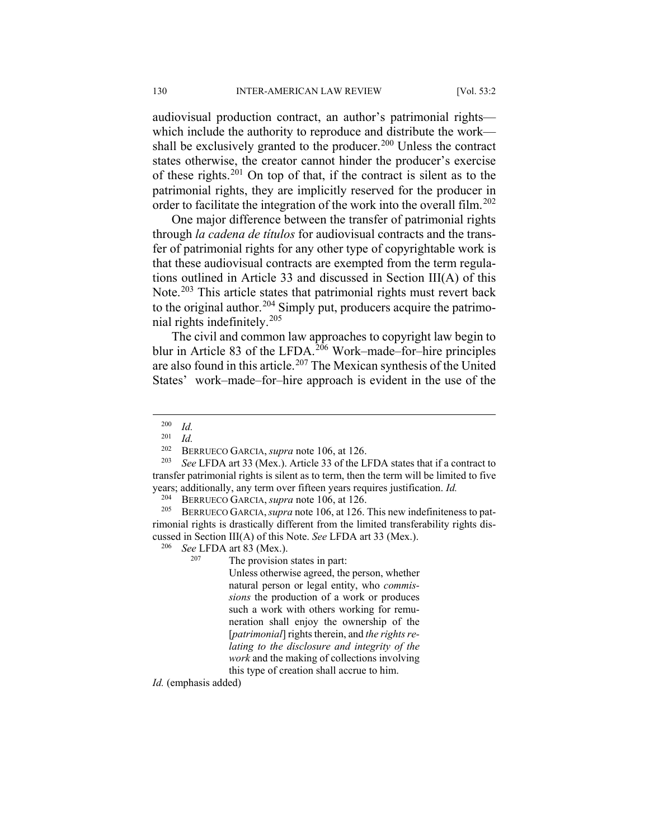audiovisual production contract, an author's patrimonial rights which include the authority to reproduce and distribute the work— shall be exclusively granted to the producer.<sup>[200](#page-28-0)</sup> Unless the contract states otherwise, the creator cannot hinder the producer's exercise of these rights.<sup>[201](#page-28-1)</sup> On top of that, if the contract is silent as to the patrimonial rights, they are implicitly reserved for the producer in order to facilitate the integration of the work into the overall film.<sup>[202](#page-28-2)</sup>

One major difference between the transfer of patrimonial rights through *la cadena de títulos* for audiovisual contracts and the transfer of patrimonial rights for any other type of copyrightable work is that these audiovisual contracts are exempted from the term regulations outlined in Article 33 and discussed in Section III(A) of this Note.<sup>[203](#page-28-3)</sup> This article states that patrimonial rights must revert back to the original author.<sup>[204](#page-28-4)</sup> Simply put, producers acquire the patrimonial rights indefinitely.[205](#page-28-5)

The civil and common law approaches to copyright law begin to blur in Article 83 of the LFDA.<sup>[206](#page-28-6)</sup> Work–made–for–hire principles are also found in this article.[207](#page-28-7) The Mexican synthesis of the United States' work–made–for–hire approach is evident in the use of the

 $\frac{201}{202}$  *Id.* 

<span id="page-28-7"></span><span id="page-28-6"></span><span id="page-28-5"></span><span id="page-28-4"></span><sup>205</sup> BERRUECO GARCIA,*supra* note 106, at 126. This new indefiniteness to patrimonial rights is drastically different from the limited transferability rights discussed in Section III(A) of this Note. *See* LFDA art 33 (Mex.).

*See* LFDA art 83 (Mex.).

The provision states in part:

Unless otherwise agreed, the person, whether natural person or legal entity, who *commissions* the production of a work or produces such a work with others working for remuneration shall enjoy the ownership of the [*patrimonial*] rights therein, and *the rights relating to the disclosure and integrity of the work* and the making of collections involving this type of creation shall accrue to him.

*Id.* (emphasis added)

 $\frac{200}{201}$  *Id.* 

<sup>&</sup>lt;sup>202</sup> BERRUECO GARCIA, *supra* note 106, at 126.<br><sup>203</sup> See LEDA art 33 (Mey) Article 33 of the L

<span id="page-28-3"></span><span id="page-28-2"></span><span id="page-28-1"></span><span id="page-28-0"></span>See LFDA art 33 (Mex.). Article 33 of the LFDA states that if a contract to transfer patrimonial rights is silent as to term, then the term will be limited to five years; additionally, any term over fifteen years requires justification. *Id.*<br><sup>204</sup> BERRUECO GARCIA *supra* note 106 at 126

<sup>&</sup>lt;sup>204</sup> BERRUECO GARCIA, *supra* note 106, at 126.<br><sup>205</sup> BERRUECO GARCIA, *supra* pote 106, at 126.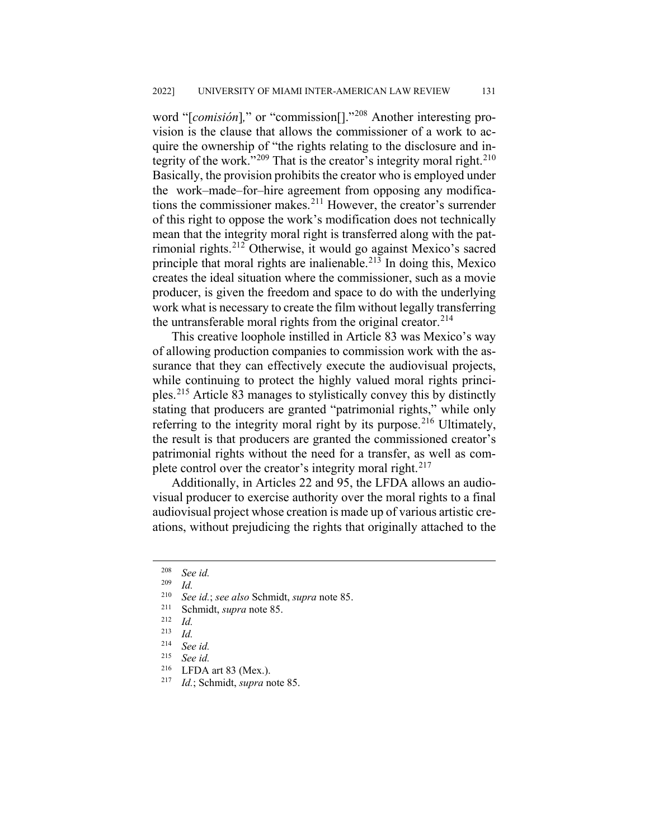word "[*comisión*]*,*" or "commission[]."[208](#page-29-0) Another interesting provision is the clause that allows the commissioner of a work to acquire the ownership of "the rights relating to the disclosure and in-tegrity of the work."<sup>[209](#page-29-1)</sup> That is the creator's integrity moral right.<sup>[210](#page-29-2)</sup> Basically, the provision prohibits the creator who is employed under the work–made–for–hire agreement from opposing any modifications the commissioner makes.[211](#page-29-3) However, the creator's surrender of this right to oppose the work's modification does not technically mean that the integrity moral right is transferred along with the patrimonial rights.[212](#page-29-4) Otherwise, it would go against Mexico's sacred principle that moral rights are inalienable. $213$  In doing this, Mexico creates the ideal situation where the commissioner, such as a movie producer, is given the freedom and space to do with the underlying work what is necessary to create the film without legally transferring the untransferable moral rights from the original creator.<sup>[214](#page-29-6)</sup>

This creative loophole instilled in Article 83 was Mexico's way of allowing production companies to commission work with the assurance that they can effectively execute the audiovisual projects, while continuing to protect the highly valued moral rights principles.[215](#page-29-7) Article 83 manages to stylistically convey this by distinctly stating that producers are granted "patrimonial rights," while only referring to the integrity moral right by its purpose.<sup>[216](#page-29-8)</sup> Ultimately, the result is that producers are granted the commissioned creator's patrimonial rights without the need for a transfer, as well as complete control over the creator's integrity moral right. $217$ 

Additionally, in Articles 22 and 95, the LFDA allows an audiovisual producer to exercise authority over the moral rights to a final audiovisual project whose creation is made up of various artistic creations, without prejudicing the rights that originally attached to the

<span id="page-29-0"></span> <sup>208</sup> *See id.*

<span id="page-29-2"></span><span id="page-29-1"></span> $\frac{209}{210}$  *Id.* 

<sup>210</sup> *See id.*; *see also* Schmidt, *supra* note 85.

<span id="page-29-3"></span><sup>&</sup>lt;sup>211</sup> Schmidt, *supra* note 85.<br><sup>212</sup> *Id* 

<span id="page-29-4"></span> $\frac{212}{213}$  *Id.* 

<span id="page-29-5"></span> $\frac{213}{214}$  *Id.* 

<span id="page-29-6"></span><sup>214</sup> *See id.*

<span id="page-29-7"></span> $^{215}$  *See id.*<br><sup>216</sup> **I FDA** 

<span id="page-29-9"></span><span id="page-29-8"></span><sup>&</sup>lt;sup>216</sup> LFDA art 83 (Mex.).<br><sup>217</sup> *Id* · Schmidt *sunra* n

*Id.*; Schmidt, *supra* note 85.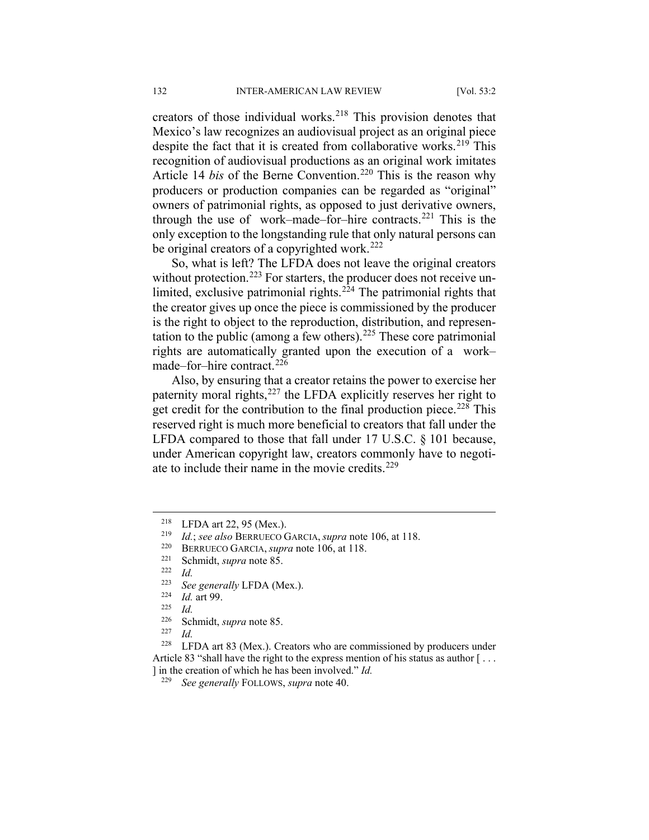creators of those individual works. $218$  This provision denotes that Mexico's law recognizes an audiovisual project as an original piece despite the fact that it is created from collaborative works.<sup>[219](#page-30-1)</sup> This recognition of audiovisual productions as an original work imitates Article 14 *bis* of the Berne Convention.<sup>[220](#page-30-2)</sup> This is the reason why producers or production companies can be regarded as "original" owners of patrimonial rights, as opposed to just derivative owners, through the use of work–made–for–hire contracts. $221$  This is the only exception to the longstanding rule that only natural persons can be original creators of a copyrighted work.<sup>[222](#page-30-4)</sup>

So, what is left? The LFDA does not leave the original creators without protection.<sup>[223](#page-30-5)</sup> For starters, the producer does not receive un-limited, exclusive patrimonial rights.<sup>[224](#page-30-6)</sup> The patrimonial rights that the creator gives up once the piece is commissioned by the producer is the right to object to the reproduction, distribution, and represen-tation to the public (among a few others).<sup>[225](#page-30-7)</sup> These core patrimonial rights are automatically granted upon the execution of a work– made–for–hire contract.<sup>[226](#page-30-8)</sup>

Also, by ensuring that a creator retains the power to exercise her paternity moral rights, $227$  the LFDA explicitly reserves her right to get credit for the contribution to the final production piece.<sup>[228](#page-30-10)</sup> This reserved right is much more beneficial to creators that fall under the LFDA compared to those that fall under 17 U.S.C. § 101 because, under American copyright law, creators commonly have to negotiate to include their name in the movie credits. $229$ 

 $\frac{227}{228}$  *Id.* 

<span id="page-30-11"></span><span id="page-30-10"></span><span id="page-30-9"></span><span id="page-30-8"></span><span id="page-30-7"></span>LFDA art 83 (Mex.). Creators who are commissioned by producers under Article 83 "shall have the right to the express mention of his status as author [... ] in the creation of which he has been involved." *Id.*

<span id="page-30-0"></span><sup>&</sup>lt;sup>218</sup> LFDA art 22, 95 (Mex.).<br><sup>219</sup> Ld. 522 also PERRUEGO 6

<span id="page-30-1"></span><sup>219</sup> *Id.*; *see also* BERRUECO GARCIA, *supra* note 106, at 118.

<span id="page-30-2"></span><sup>&</sup>lt;sup>220</sup> BERRUECO GARCIA, *supra* note 106, at 118.

<span id="page-30-4"></span><span id="page-30-3"></span> $\frac{221}{222}$  Schmidt, *supra* note 85.

 $\frac{222}{223}$  *Id.* 

<sup>&</sup>lt;sup>223</sup> *See generally* LFDA (Mex.).<br><sup>224</sup> *L*d art 00

<span id="page-30-6"></span><span id="page-30-5"></span> $\frac{224}{225}$  *Id.* art 99.

 $\frac{225}{226}$  *Id.* 

 $\frac{226}{227}$  Schmidt, *supra* note 85.

<sup>229</sup> *See generally* FOLLOWS, *supra* note 40.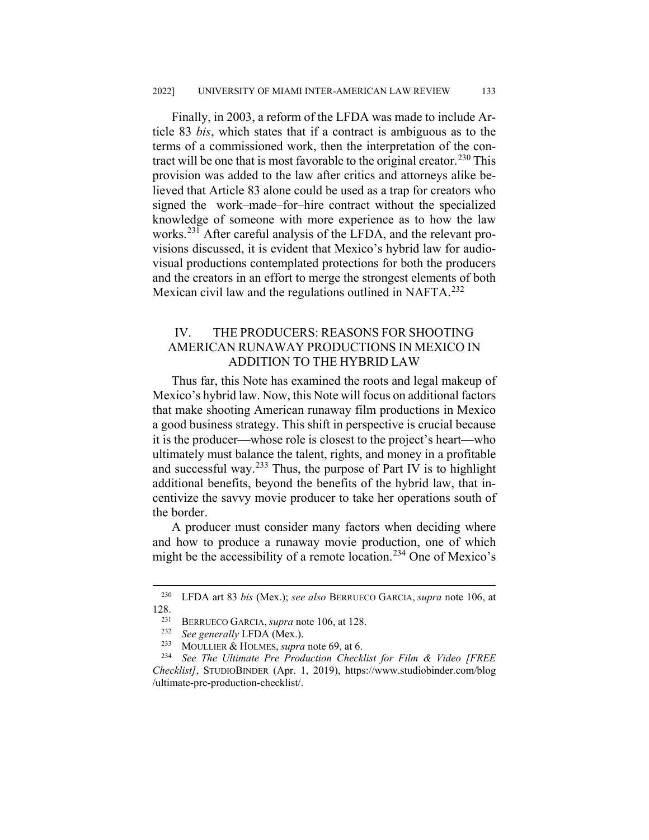Finally, in 2003, a reform of the LFDA was made to include Article 83 *bis*, which states that if a contract is ambiguous as to the terms of a commissioned work, then the interpretation of the con-tract will be one that is most favorable to the original creator.<sup>[230](#page-31-0)</sup> This provision was added to the law after critics and attorneys alike believed that Article 83 alone could be used as a trap for creators who signed the work–made–for–hire contract without the specialized knowledge of someone with more experience as to how the law works.[231](#page-31-1) After careful analysis of the LFDA, and the relevant provisions discussed, it is evident that Mexico's hybrid law for audiovisual productions contemplated protections for both the producers and the creators in an effort to merge the strongest elements of both Mexican civil law and the regulations outlined in NAFTA.<sup>[232](#page-31-2)</sup>

## IV. THE PRODUCERS: REASONS FOR SHOOTING AMERICAN RUNAWAY PRODUCTIONS IN MEXICO IN ADDITION TO THE HYBRID LAW

Thus far, this Note has examined the roots and legal makeup of Mexico's hybrid law. Now, this Note will focus on additional factors that make shooting American runaway film productions in Mexico a good business strategy. This shift in perspective is crucial because it is the producer—whose role is closest to the project's heart—who ultimately must balance the talent, rights, and money in a profitable and successful way.<sup>[233](#page-31-3)</sup> Thus, the purpose of Part IV is to highlight additional benefits, beyond the benefits of the hybrid law, that incentivize the savvy movie producer to take her operations south of the border.

A producer must consider many factors when deciding where and how to produce a runaway movie production, one of which might be the accessibility of a remote location.<sup>[234](#page-31-4)</sup> One of Mexico's

<span id="page-31-1"></span><span id="page-31-0"></span> <sup>230</sup> LFDA art 83 *bis* (Mex.); *see also* BERRUECO GARCIA, *supra* note 106, at  $\frac{128}{231}$ 

<sup>&</sup>lt;sup>231</sup> BERRUECO GARCIA, *supra* note 106, at 128.<br><sup>232</sup> See generally **I** FDA (Mex)

<sup>&</sup>lt;sup>232</sup> *See generally LFDA (Mex.).*<br><sup>233</sup> MOULLER & HOLMES surve

MOULLIER & HOLMES, *supra* note 69, at 6.

<span id="page-31-4"></span><span id="page-31-3"></span><span id="page-31-2"></span><sup>234</sup> *See The Ultimate Pre Production Checklist for Film & Video [FREE Checklist]*, STUDIOBINDER (Apr. 1, 2019), https://www.studiobinder.com/blog /ultimate-pre-production-checklist/.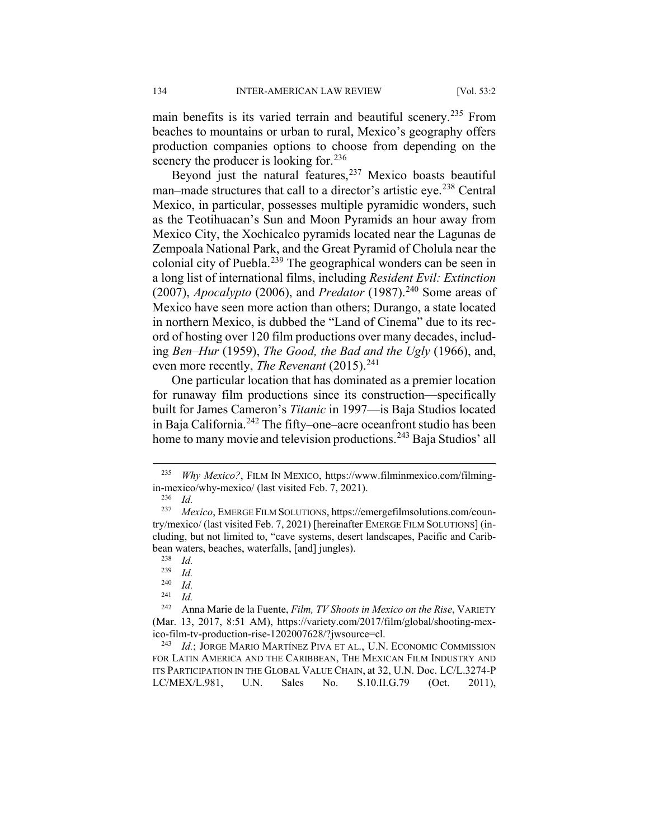main benefits is its varied terrain and beautiful scenery.<sup>[235](#page-32-0)</sup> From beaches to mountains or urban to rural, Mexico's geography offers production companies options to choose from depending on the scenery the producer is looking for. $236$ 

Beyond just the natural features,  $237$  Mexico boasts beautiful man–made structures that call to a director's artistic eye.<sup>[238](#page-32-3)</sup> Central Mexico, in particular, possesses multiple pyramidic wonders, such as the Teotihuacan's Sun and Moon Pyramids an hour away from Mexico City, the Xochicalco pyramids located near the Lagunas de Zempoala National Park, and the Great Pyramid of Cholula near the colonial city of Puebla.<sup>[239](#page-32-4)</sup> The geographical wonders can be seen in a long list of international films, including *Resident Evil: Extinction*   $(2007)$ , *Apocalypto* (2006), and *Predator* (1987).<sup>[240](#page-32-5)</sup> Some areas of Mexico have seen more action than others; Durango, a state located in northern Mexico, is dubbed the "Land of Cinema" due to its record of hosting over 120 film productions over many decades, including *Ben–Hur* (1959), *The Good, the Bad and the Ugly* (1966), and, even more recently, *The Revenant* (2015).<sup>[241](#page-32-6)</sup>

One particular location that has dominated as a premier location for runaway film productions since its construction—specifically built for James Cameron's *Titanic* in 1997—is Baja Studios located in Baja California.<sup>[242](#page-32-7)</sup> The fifty–one–acre oceanfront studio has been home to many movie and television productions.<sup>[243](#page-32-8)</sup> Baja Studios' all

 $\frac{240}{241}$  *Id.* 

<span id="page-32-0"></span> <sup>235</sup> *Why Mexico?*, FILM IN MEXICO, https://www.filminmexico.com/filmingin-mexico/why-mexico/ (last visited Feb. 7, 2021).<br> $^{236}$  *M* 

 $\frac{236}{237}$  *Id.* 

<span id="page-32-3"></span><span id="page-32-2"></span><span id="page-32-1"></span><sup>237</sup> *Mexico*, EMERGE FILM SOLUTIONS, https://emergefilmsolutions.com/country/mexico/ (last visited Feb. 7, 2021) [hereinafter EMERGE FILM SOLUTIONS] (including, but not limited to, "cave systems, desert landscapes, Pacific and Caribbean waters, beaches, waterfalls, [and] jungles).

 $\frac{238}{239}$  *Id.* 

 $\frac{239}{240}$  *Id.* 

 $\frac{241}{242}$  *Id.* 

<span id="page-32-7"></span><span id="page-32-6"></span><span id="page-32-5"></span><span id="page-32-4"></span><sup>242</sup> Anna Marie de la Fuente, *Film, TV Shoots in Mexico on the Rise*, VARIETY (Mar. 13, 2017, 8:51 AM), https://variety.com/2017/film/global/shooting-mexico-film-tv-production-rise-1202007628/?jwsource=cl.

<span id="page-32-8"></span><sup>243</sup> *Id.*; JORGE MARIO MARTÍNEZ PIVA ET AL., U.N. ECONOMIC COMMISSION FOR LATIN AMERICA AND THE CARIBBEAN, THE MEXICAN FILM INDUSTRY AND ITS PARTICIPATION IN THE GLOBAL VALUE CHAIN, at 32, U.N. Doc. LC/L.3274-P LC/MEX/L.981, U.N. Sales No. S.10.II.G.79 (Oct. 2011),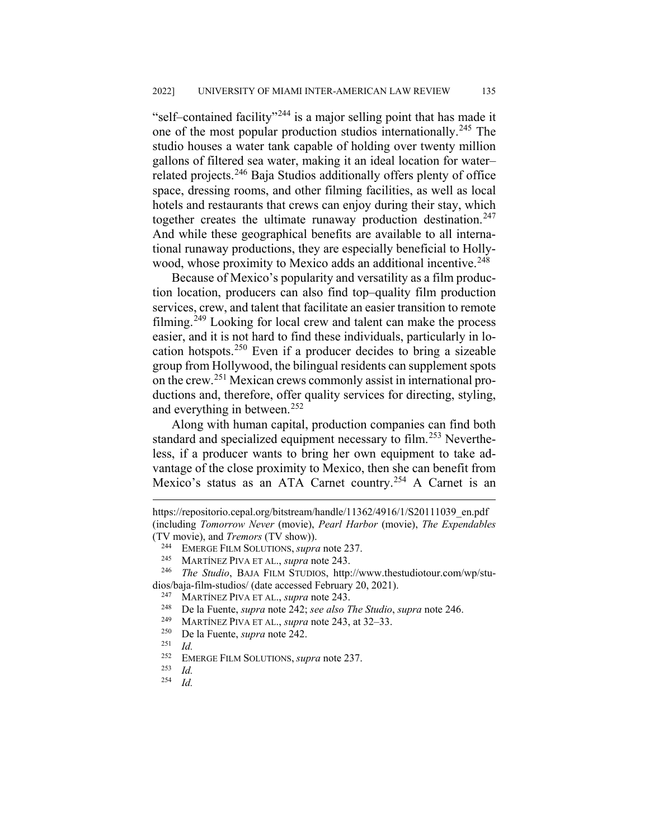"self–contained facility"[244](#page-33-0) is a major selling point that has made it one of the most popular production studios internationally.[245](#page-33-1) The studio houses a water tank capable of holding over twenty million gallons of filtered sea water, making it an ideal location for water– related projects.[246](#page-33-2) Baja Studios additionally offers plenty of office space, dressing rooms, and other filming facilities, as well as local hotels and restaurants that crews can enjoy during their stay, which together creates the ultimate runaway production destination.<sup>[247](#page-33-3)</sup> And while these geographical benefits are available to all international runaway productions, they are especially beneficial to Holly-wood, whose proximity to Mexico adds an additional incentive.<sup>[248](#page-33-4)</sup>

Because of Mexico's popularity and versatility as a film production location, producers can also find top–quality film production services, crew, and talent that facilitate an easier transition to remote filming.<sup>[249](#page-33-5)</sup> Looking for local crew and talent can make the process easier, and it is not hard to find these individuals, particularly in location hotspots.[250](#page-33-6) Even if a producer decides to bring a sizeable group from Hollywood, the bilingual residents can supplement spots on the crew.[251](#page-33-7) Mexican crews commonly assist in international productions and, therefore, offer quality services for directing, styling, and everything in between.<sup>[252](#page-33-8)</sup>

Along with human capital, production companies can find both standard and specialized equipment necessary to film.<sup>[253](#page-33-9)</sup> Nevertheless, if a producer wants to bring her own equipment to take advantage of the close proximity to Mexico, then she can benefit from Mexico's status as an ATA Carnet country.<sup>[254](#page-33-10)</sup> A Carnet is an

https://repositorio.cepal.org/bitstream/handle/11362/4916/1/S20111039\_en.pdf (including *Tomorrow Never* (movie), *Pearl Harbor* (movie), *The Expendables* (TV movie), and *Tremors* (TV show)).

<sup>&</sup>lt;sup>244</sup> EMERGE FILM SOLUTIONS, *supra* note 237.<br><sup>245</sup> MARTÍNEZ PIVA ET AL *supra* note 243

<sup>245</sup> MARTÍNEZ PIVA ET AL., *supra* note 243.

<span id="page-33-5"></span><span id="page-33-4"></span><span id="page-33-3"></span><span id="page-33-2"></span><span id="page-33-1"></span><span id="page-33-0"></span><sup>246</sup> *The Studio*, BAJA FILM STUDIOS, http://www.thestudiotour.com/wp/studios/baja-film-studios/ (date accessed February 20, 2021).<br> $^{247}$  MARTÍNEZ PIVA ET AL sung pote 243

<sup>247</sup> MARTÍNEZ PIVA ET AL., *supra* note 243.

<sup>248</sup> De la Fuente, *supra* note 242; *see also The Studio*, *supra* note 246.

<span id="page-33-6"></span><sup>&</sup>lt;sup>249</sup> MARTÍNEZ PIVA ET AL., *supra* note 243, at 32–33.<br><sup>250</sup> De la Fuente, *supra* pote 242

<sup>250</sup> De la Fuente, *supra* note 242.

<span id="page-33-7"></span> $\frac{251}{252}$  *Id.* 

<span id="page-33-9"></span><span id="page-33-8"></span><sup>&</sup>lt;sup>252</sup> EMERGE FILM SOLUTIONS, *supra* note 237.

<span id="page-33-10"></span> $\frac{253}{254}$  *Id.* 

<sup>254</sup> *Id.*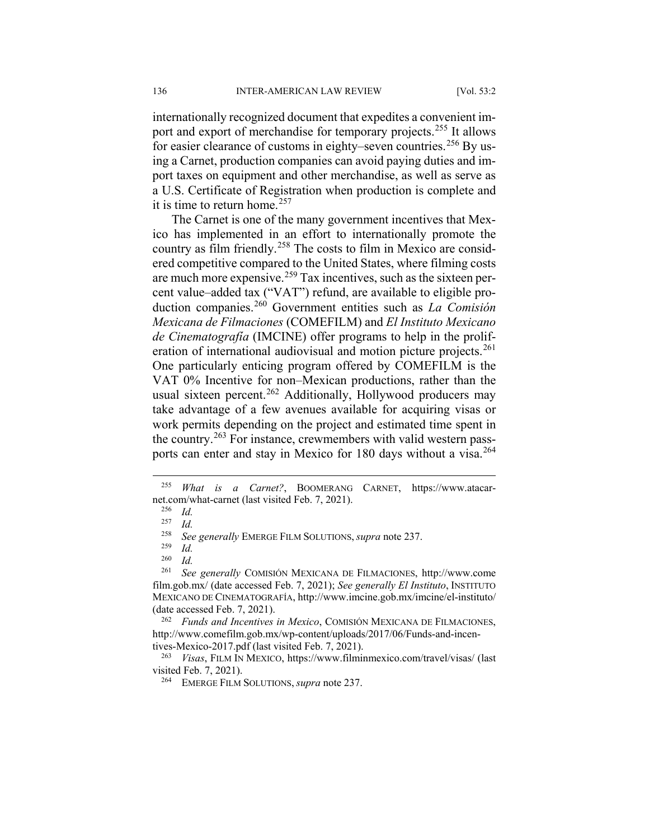internationally recognized document that expedites a convenient im-port and export of merchandise for temporary projects.<sup>[255](#page-34-0)</sup> It allows for easier clearance of customs in eighty–seven countries.<sup>[256](#page-34-1)</sup> By using a Carnet, production companies can avoid paying duties and import taxes on equipment and other merchandise, as well as serve as a U.S. Certificate of Registration when production is complete and it is time to return home.<sup>[257](#page-34-2)</sup>

The Carnet is one of the many government incentives that Mexico has implemented in an effort to internationally promote the country as film friendly.<sup>[258](#page-34-3)</sup> The costs to film in Mexico are considered competitive compared to the United States, where filming costs are much more expensive.[259](#page-34-4) Tax incentives, such as the sixteen percent value–added tax ("VAT") refund, are available to eligible production companies.[260](#page-34-5) Government entities such as *La Comisión Mexicana de Filmaciones* (COMEFILM) and *El Instituto Mexicano de Cinematografía* (IMCINE) offer programs to help in the prolif-eration of international audiovisual and motion picture projects.<sup>[261](#page-34-6)</sup> One particularly enticing program offered by COMEFILM is the VAT 0% Incentive for non–Mexican productions, rather than the usual sixteen percent.<sup>[262](#page-34-7)</sup> Additionally, Hollywood producers may take advantage of a few avenues available for acquiring visas or work permits depending on the project and estimated time spent in the country.<sup>[263](#page-34-8)</sup> For instance, crewmembers with valid western pass-ports can enter and stay in Mexico for 180 days without a visa.<sup>[264](#page-34-9)</sup>

<span id="page-34-6"></span><span id="page-34-5"></span><span id="page-34-4"></span><span id="page-34-3"></span><sup>261</sup> *See generally* COMISIÓN MEXICANA DE FILMACIONES, http://www.come film.gob.mx/ (date accessed Feb. 7, 2021); *See generally El Instituto*, INSTITUTO MEXICANO DE CINEMATOGRAFÍA, http://www.imcine.gob.mx/imcine/el-instituto/ (date accessed Feb. 7, 2021).

<span id="page-34-7"></span><sup>262</sup> *Funds and Incentives in Mexico*, COMISIÓN MEXICANA DE FILMACIONES, http://www.comefilm.gob.mx/wp-content/uploads/2017/06/Funds-and-incentives-Mexico-2017.pdf (last visited Feb. 7, 2021).

<span id="page-34-9"></span><span id="page-34-8"></span><sup>263</sup> *Visas*, FILM IN MEXICO, https://www.filminmexico.com/travel/visas/ (last visited Feb. 7, 2021).

<span id="page-34-2"></span><span id="page-34-1"></span><span id="page-34-0"></span> <sup>255</sup> *What is a Carnet?*, BOOMERANG CARNET, https://www.atacarnet.com/what-carnet (last visited Feb. 7, 2021).<br> $^{256}$  *M* 

 $\frac{256}{257}$  *Id.* 

 $\frac{257}{258}$  *Id.* 

<sup>258</sup> *See generally* EMERGE FILM SOLUTIONS, *supra* note 237.

 $\frac{259}{260}$  *Id.* 

 $\frac{260}{261}$  *Id.* 

<sup>264</sup> EMERGE FILM SOLUTIONS, *supra* note 237.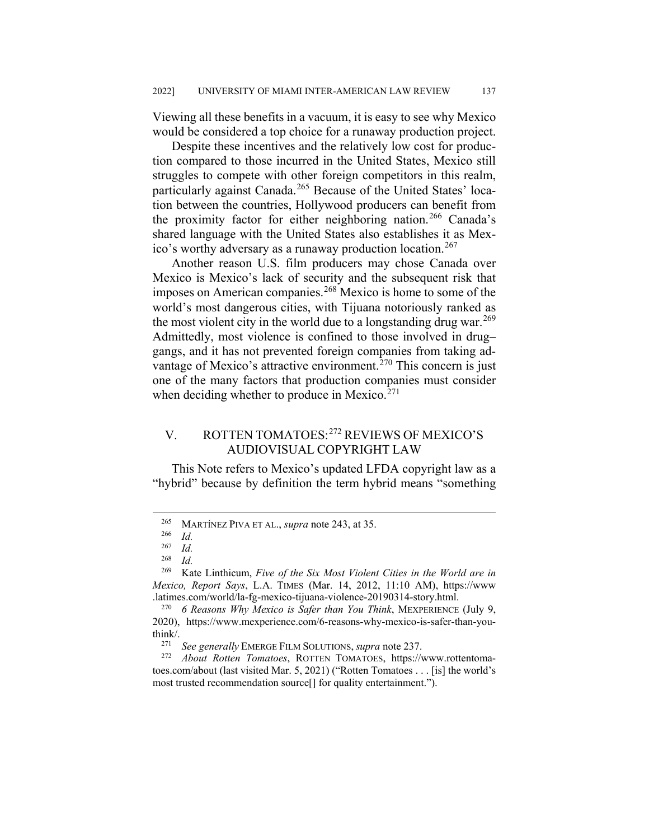Viewing all these benefits in a vacuum, it is easy to see why Mexico would be considered a top choice for a runaway production project.

Despite these incentives and the relatively low cost for production compared to those incurred in the United States, Mexico still struggles to compete with other foreign competitors in this realm, particularly against Canada.<sup>[265](#page-35-0)</sup> Because of the United States' location between the countries, Hollywood producers can benefit from the proximity factor for either neighboring nation.<sup>[266](#page-35-1)</sup> Canada's shared language with the United States also establishes it as Mex-ico's worthy adversary as a runaway production location.<sup>[267](#page-35-2)</sup>

Another reason U.S. film producers may chose Canada over Mexico is Mexico's lack of security and the subsequent risk that imposes on American companies.<sup>[268](#page-35-3)</sup> Mexico is home to some of the world's most dangerous cities, with Tijuana notoriously ranked as the most violent city in the world due to a longstanding drug war.<sup>[269](#page-35-4)</sup> Admittedly, most violence is confined to those involved in drug– gangs, and it has not prevented foreign companies from taking ad-vantage of Mexico's attractive environment.<sup>[270](#page-35-5)</sup> This concern is just one of the many factors that production companies must consider when deciding whether to produce in Mexico. $271$ 

## V. ROTTEN TOMATOES:[272](#page-35-7) REVIEWS OF MEXICO'S AUDIOVISUAL COPYRIGHT LAW

This Note refers to Mexico's updated LFDA copyright law as a "hybrid" because by definition the term hybrid means "something

<span id="page-35-0"></span> <sup>265</sup> MARTÍNEZ PIVA ET AL., *supra* note 243, at 35.

 $\frac{266}{267}$  *Id.* 

 $\frac{267}{268}$  *Id.* 

 $\frac{268}{269}$  *Id.* 

<span id="page-35-4"></span><span id="page-35-3"></span><span id="page-35-2"></span><span id="page-35-1"></span><sup>269</sup> Kate Linthicum, *Five of the Six Most Violent Cities in the World are in Mexico, Report Says*, L.A. TIMES (Mar. 14, 2012, 11:10 AM), https://www .latimes.com/world/la-fg-mexico-tijuana-violence-20190314-story.html.

<span id="page-35-5"></span><sup>270</sup> *6 Reasons Why Mexico is Safer than You Think*, MEXPERIENCE (July 9, 2020), https://www.mexperience.com/6-reasons-why-mexico-is-safer-than-youthink/.

<sup>271</sup> *See generally* EMERGE FILM SOLUTIONS, *supra* note 237.

<span id="page-35-7"></span><span id="page-35-6"></span><sup>272</sup> *About Rotten Tomatoes*, ROTTEN TOMATOES, https://www.rottentomatoes.com/about (last visited Mar. 5, 2021) ("Rotten Tomatoes . . . [is] the world's most trusted recommendation source[] for quality entertainment.").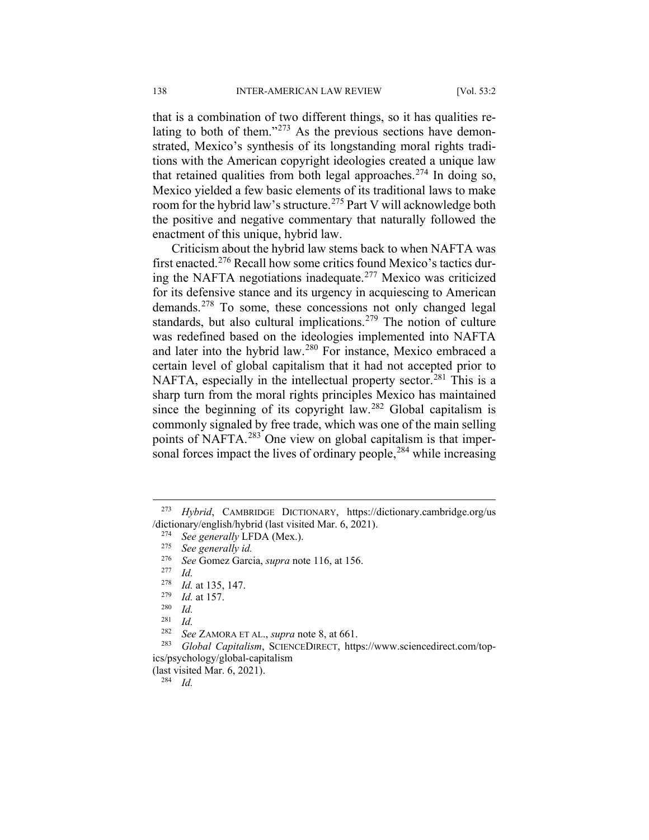that is a combination of two different things, so it has qualities relating to both of them." $273$  As the previous sections have demonstrated, Mexico's synthesis of its longstanding moral rights traditions with the American copyright ideologies created a unique law that retained qualities from both legal approaches.<sup>[274](#page-36-1)</sup> In doing so, Mexico yielded a few basic elements of its traditional laws to make room for the hybrid law's structure.<sup>[275](#page-36-2)</sup> Part V will acknowledge both the positive and negative commentary that naturally followed the enactment of this unique, hybrid law.

Criticism about the hybrid law stems back to when NAFTA was first enacted.[276](#page-36-3) Recall how some critics found Mexico's tactics during the NAFTA negotiations inadequate.[277](#page-36-4) Mexico was criticized for its defensive stance and its urgency in acquiescing to American demands.[278](#page-36-5) To some, these concessions not only changed legal standards, but also cultural implications.<sup>[279](#page-36-6)</sup> The notion of culture was redefined based on the ideologies implemented into NAFTA and later into the hybrid law.[280](#page-36-7) For instance, Mexico embraced a certain level of global capitalism that it had not accepted prior to NAFTA, especially in the intellectual property sector.<sup>[281](#page-36-8)</sup> This is a sharp turn from the moral rights principles Mexico has maintained since the beginning of its copyright law.<sup>[282](#page-36-9)</sup> Global capitalism is commonly signaled by free trade, which was one of the main selling points of NAFTA.[283](#page-36-10) One view on global capitalism is that impersonal forces impact the lives of ordinary people,  $284$  while increasing

<span id="page-36-11"></span>(last visited Mar. 6, 2021).

<sup>284</sup> *Id.*

<span id="page-36-3"></span><span id="page-36-2"></span><span id="page-36-1"></span><span id="page-36-0"></span> <sup>273</sup> *Hybrid*, CAMBRIDGE DICTIONARY, https://dictionary.cambridge.org/us /dictionary/english/hybrid (last visited Mar. 6, 2021).

<sup>&</sup>lt;sup>274</sup> *See generally LFDA (Mex.).*<br><sup>275</sup> *See generally id* 

<sup>275</sup> *See generally id.*

<span id="page-36-4"></span><sup>276</sup> *See* Gomez Garcia, *supra* note 116, at 156.

<sup>277</sup> *Id.*

<span id="page-36-6"></span><span id="page-36-5"></span> $\frac{278}{279}$  *Id.* at 135, 147.

 $\frac{279}{280}$  *Id.* at 157.

 $\frac{280}{281}$  *Id.* 

 $\frac{281}{282}$  *Id.* 

<sup>282</sup> *See* ZAMORA ET AL., *supra* note 8, at 661.

<span id="page-36-10"></span><span id="page-36-9"></span><span id="page-36-8"></span><span id="page-36-7"></span><sup>283</sup> *Global Capitalism*, SCIENCEDIRECT, https://www.sciencedirect.com/topics/psychology/global-capitalism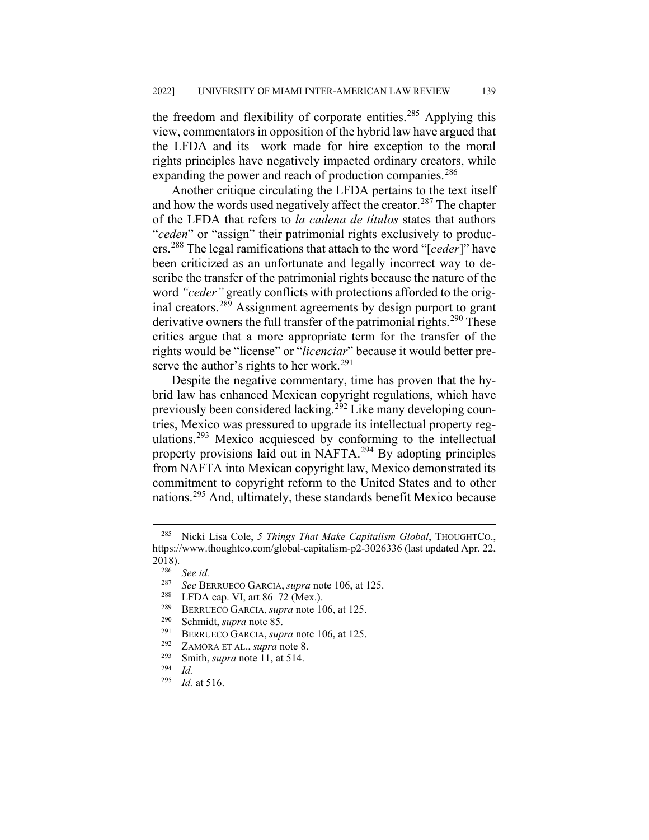the freedom and flexibility of corporate entities.<sup>[285](#page-37-0)</sup> Applying this view, commentators in opposition of the hybrid law have argued that the LFDA and its work–made–for–hire exception to the moral rights principles have negatively impacted ordinary creators, while expanding the power and reach of production companies.<sup>[286](#page-37-1)</sup>

Another critique circulating the LFDA pertains to the text itself and how the words used negatively affect the creator. $287$  The chapter of the LFDA that refers to *la cadena de títulos* states that authors "*ceden*" or "assign" their patrimonial rights exclusively to producers.[288](#page-37-3) The legal ramifications that attach to the word "[*ceder*]" have been criticized as an unfortunate and legally incorrect way to describe the transfer of the patrimonial rights because the nature of the word *"ceder"* greatly conflicts with protections afforded to the original creators.[289](#page-37-4) Assignment agreements by design purport to grant derivative owners the full transfer of the patrimonial rights.<sup>[290](#page-37-5)</sup> These critics argue that a more appropriate term for the transfer of the rights would be "license" or "*licenciar*" because it would better pre-serve the author's rights to her work.<sup>[291](#page-37-6)</sup>

Despite the negative commentary, time has proven that the hybrid law has enhanced Mexican copyright regulations, which have previously been considered lacking.<sup>[292](#page-37-7)</sup> Like many developing countries, Mexico was pressured to upgrade its intellectual property reg-ulations.<sup>[293](#page-37-8)</sup> Mexico acquiesced by conforming to the intellectual property provisions laid out in NAFTA.[294](#page-37-9) By adopting principles from NAFTA into Mexican copyright law, Mexico demonstrated its commitment to copyright reform to the United States and to other nations.[295](#page-37-10) And, ultimately, these standards benefit Mexico because

- <sup>291</sup> BERRUECO GARCIA, *supra* note 106, at 125.<br><sup>292</sup> ZAMORA ETAL *supra* pote 8
- <sup>292</sup> ZAMORA ET AL., *supra* note 8.

<span id="page-37-2"></span><span id="page-37-1"></span><span id="page-37-0"></span> <sup>285</sup> Nicki Lisa Cole, *5 Things That Make Capitalism Global*, THOUGHTCO., https://www.thoughtco.com/global-capitalism-p2-3026336 (last updated Apr. 22,  $2018$ ).

<sup>286</sup> *See id.*

<sup>287</sup> *See* BERRUECO GARCIA, *supra* note 106, at 125.

<span id="page-37-3"></span><sup>&</sup>lt;sup>288</sup> LFDA cap. VI, art 86–72 (Mex.).<br><sup>289</sup> BERRIECO GARCIA, *sunta* note 10

<sup>&</sup>lt;sup>289</sup> BERRUECO GARCIA, *supra* note 106, at 125.

<span id="page-37-6"></span><span id="page-37-5"></span><span id="page-37-4"></span><sup>&</sup>lt;sup>290</sup> Schmidt, *supra* note 85.<br><sup>291</sup> BERRIEGO GARCIA *sup* 

<span id="page-37-9"></span><span id="page-37-8"></span><span id="page-37-7"></span> $\frac{293}{294}$  Smith, *supra* note 11, at 514.

<span id="page-37-10"></span> $\frac{294}{295}$  *Id.* 

*Id.* at 516.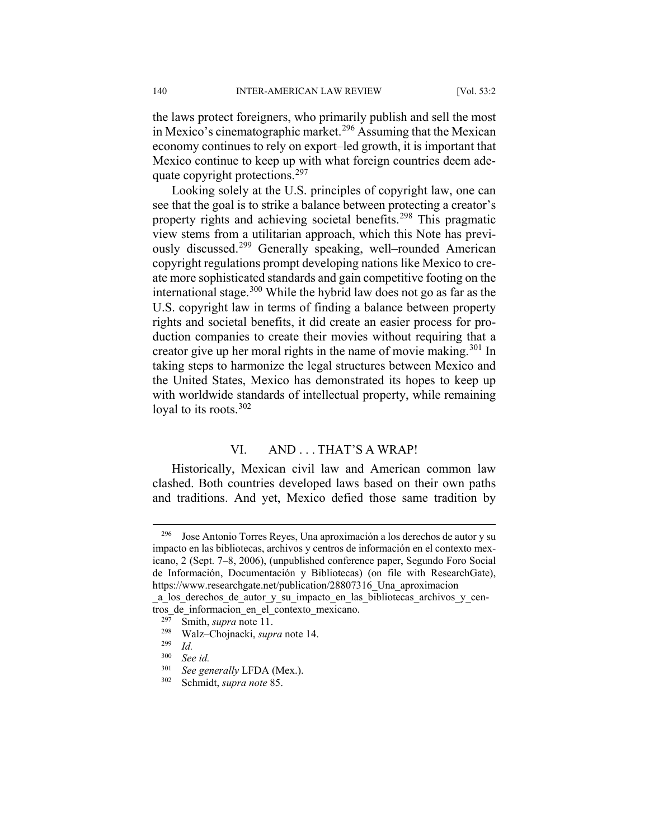the laws protect foreigners, who primarily publish and sell the most in Mexico's cinematographic market.<sup>[296](#page-38-0)</sup> Assuming that the Mexican economy continues to rely on export–led growth, it is important that Mexico continue to keep up with what foreign countries deem adequate copyright protections.[297](#page-38-1)

Looking solely at the U.S. principles of copyright law, one can see that the goal is to strike a balance between protecting a creator's property rights and achieving societal benefits.<sup>[298](#page-38-2)</sup> This pragmatic view stems from a utilitarian approach, which this Note has previ-ously discussed.<sup>[299](#page-38-3)</sup> Generally speaking, well–rounded American copyright regulations prompt developing nations like Mexico to create more sophisticated standards and gain competitive footing on the international stage.<sup>[300](#page-38-4)</sup> While the hybrid law does not go as far as the U.S. copyright law in terms of finding a balance between property rights and societal benefits, it did create an easier process for production companies to create their movies without requiring that a creator give up her moral rights in the name of movie making.<sup>[301](#page-38-5)</sup> In taking steps to harmonize the legal structures between Mexico and the United States, Mexico has demonstrated its hopes to keep up with worldwide standards of intellectual property, while remaining loyal to its roots.  $302$ 

#### VI. AND ... THAT'S A WRAP!

Historically, Mexican civil law and American common law clashed. Both countries developed laws based on their own paths and traditions. And yet, Mexico defied those same tradition by

<span id="page-38-0"></span>Jose Antonio Torres Reyes, Una aproximación a los derechos de autor y su impacto en las bibliotecas, archivos y centros de información en el contexto mexicano, 2 (Sept. 7–8, 2006), (unpublished conference paper, Segundo Foro Social de Información, Documentación y Bibliotecas) (on file with ResearchGate), https://www.researchgate.net/publication/28807316\_Una\_aproximacion

<span id="page-38-3"></span><span id="page-38-2"></span><span id="page-38-1"></span>\_a\_los\_derechos\_de\_autor\_y\_su\_impacto\_en\_las\_bibliotecas\_archivos\_y\_centros\_de\_informacion\_en\_el\_contexto\_mexicano.<br> $\frac{297}{2}$ . Smith\_sunus note 11

<sup>&</sup>lt;sup>297</sup> Smith, *supra* note 11.<br><sup>298</sup> Walz Choinacki supp

<sup>298</sup> Walz–Chojnacki, *supra* note 14.

 $\frac{299}{300}$  *Id.* 

<span id="page-38-4"></span> $300$  *See id.*<br> $301$  *See zer* 

<span id="page-38-6"></span><span id="page-38-5"></span> $^{301}$  *See generally LFDA (Mex.).*<br> $^{302}$  *Schmidt supra note* 85

Schmidt, *supra note* 85.